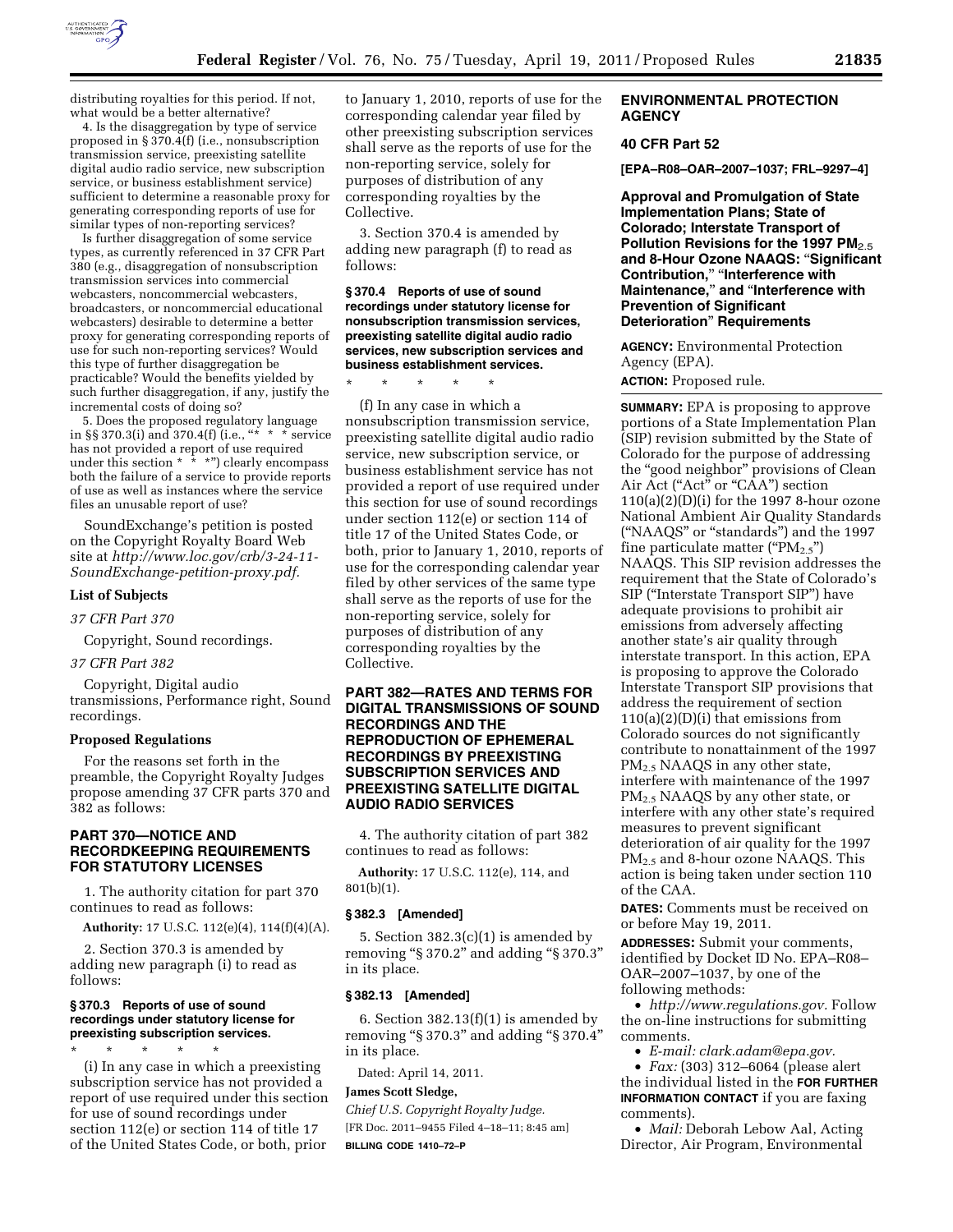

distributing royalties for this period. If not, what would be a better alternative?

4. Is the disaggregation by type of service proposed in § 370.4(f) (i.e., nonsubscription transmission service, preexisting satellite digital audio radio service, new subscription service, or business establishment service) sufficient to determine a reasonable proxy for generating corresponding reports of use for similar types of non-reporting services?

Is further disaggregation of some service types, as currently referenced in 37 CFR Part 380 (e.g., disaggregation of nonsubscription transmission services into commercial webcasters, noncommercial webcasters, broadcasters, or noncommercial educational webcasters) desirable to determine a better proxy for generating corresponding reports of use for such non-reporting services? Would this type of further disaggregation be practicable? Would the benefits yielded by such further disaggregation, if any, justify the incremental costs of doing so?

5. Does the proposed regulatory language in §§ 370.3(i) and 370.4(f) (i.e., ''\* \* \* service has not provided a report of use required under this section \* \* \*") clearly encompass both the failure of a service to provide reports of use as well as instances where the service files an unusable report of use?

SoundExchange's petition is posted on the Copyright Royalty Board Web site at *[http://www.loc.gov/crb/3-24-11-](http://www.loc.gov/crb/3-24-11-SoundExchange-petition-proxy.pdf) [SoundExchange-petition-proxy.pdf.](http://www.loc.gov/crb/3-24-11-SoundExchange-petition-proxy.pdf)* 

### **List of Subjects**

*37 CFR Part 370* 

Copyright, Sound recordings.

### *37 CFR Part 382*

Copyright, Digital audio transmissions, Performance right, Sound recordings.

#### **Proposed Regulations**

For the reasons set forth in the preamble, the Copyright Royalty Judges propose amending 37 CFR parts 370 and 382 as follows:

## **PART 370—NOTICE AND RECORDKEEPING REQUIREMENTS FOR STATUTORY LICENSES**

1. The authority citation for part 370 continues to read as follows:

**Authority:** 17 U.S.C. 112(e)(4), 114(f)(4)(A).

2. Section 370.3 is amended by adding new paragraph (i) to read as follows:

#### **§ 370.3 Reports of use of sound recordings under statutory license for preexisting subscription services.**

\* \* \* \* \*

(i) In any case in which a preexisting subscription service has not provided a report of use required under this section for use of sound recordings under section 112(e) or section 114 of title 17 of the United States Code, or both, prior

to January 1, 2010, reports of use for the corresponding calendar year filed by other preexisting subscription services shall serve as the reports of use for the non-reporting service, solely for purposes of distribution of any corresponding royalties by the Collective.

3. Section 370.4 is amended by adding new paragraph (f) to read as follows:

### **§ 370.4 Reports of use of sound recordings under statutory license for nonsubscription transmission services, preexisting satellite digital audio radio services, new subscription services and business establishment services.**

\* \* \* \* \*

(f) In any case in which a nonsubscription transmission service, preexisting satellite digital audio radio service, new subscription service, or business establishment service has not provided a report of use required under this section for use of sound recordings under section 112(e) or section 114 of title 17 of the United States Code, or both, prior to January 1, 2010, reports of use for the corresponding calendar year filed by other services of the same type shall serve as the reports of use for the non-reporting service, solely for purposes of distribution of any corresponding royalties by the Collective.

# **PART 382—RATES AND TERMS FOR DIGITAL TRANSMISSIONS OF SOUND RECORDINGS AND THE REPRODUCTION OF EPHEMERAL RECORDINGS BY PREEXISTING SUBSCRIPTION SERVICES AND PREEXISTING SATELLITE DIGITAL AUDIO RADIO SERVICES**

4. The authority citation of part 382 continues to read as follows:

**Authority:** 17 U.S.C. 112(e), 114, and 801(b)(1).

#### **§ 382.3 [Amended]**

5. Section  $382.3(c)(1)$  is amended by removing ''§ 370.2'' and adding ''§ 370.3'' in its place.

### **§ 382.13 [Amended]**

6. Section  $382.13(f)(1)$  is amended by removing "§ 370.3" and adding "§ 370.4" in its place.

Dated: April 14, 2011.

#### **James Scott Sledge,**

*Chief U.S. Copyright Royalty Judge.*  [FR Doc. 2011–9455 Filed 4–18–11; 8:45 am] **BILLING CODE 1410–72–P** 

## **ENVIRONMENTAL PROTECTION AGENCY**

### **40 CFR Part 52**

**[EPA–R08–OAR–2007–1037; FRL–9297–4]** 

**Approval and Promulgation of State Implementation Plans; State of Colorado; Interstate Transport of Pollution Revisions for the 1997 PM**2.5 **and 8-Hour Ozone NAAQS:** ''**Significant Contribution,**'' ''**Interference with Maintenance,**'' **and** ''**Interference with Prevention of Significant Deterioration**'' **Requirements** 

**AGENCY:** Environmental Protection Agency (EPA).

**ACTION:** Proposed rule.

**SUMMARY:** EPA is proposing to approve portions of a State Implementation Plan (SIP) revision submitted by the State of Colorado for the purpose of addressing the "good neighbor" provisions of Clean Air Act ("Act" or "CAA") section  $110(a)(2)(D)(i)$  for the 1997 8-hour ozone National Ambient Air Quality Standards (''NAAQS'' or ''standards'') and the 1997 fine particulate matter (" $PM_{2.5}$ ") NAAQS. This SIP revision addresses the requirement that the State of Colorado's SIP (''Interstate Transport SIP'') have adequate provisions to prohibit air emissions from adversely affecting another state's air quality through interstate transport. In this action, EPA is proposing to approve the Colorado Interstate Transport SIP provisions that address the requirement of section  $110(a)(2)(D)(i)$  that emissions from Colorado sources do not significantly contribute to nonattainment of the 1997 PM2.5 NAAQS in any other state, interfere with maintenance of the 1997 PM2.5 NAAQS by any other state, or interfere with any other state's required measures to prevent significant deterioration of air quality for the 1997  $PM<sub>2</sub>$  s and 8-hour ozone NAAOS. This action is being taken under section 110 of the CAA.

**DATES:** Comments must be received on or before May 19, 2011.

**ADDRESSES:** Submit your comments, identified by Docket ID No. EPA–R08– OAR–2007–1037, by one of the following methods:

• *[http://www.regulations.gov.](http://www.regulations.gov)* Follow the on-line instructions for submitting comments.

• *E-mail: [clark.adam@epa.gov.](mailto:clark.adam@epa.gov)* 

• *Fax:* (303) 312–6064 (please alert the individual listed in the **FOR FURTHER INFORMATION CONTACT** if you are faxing comments).

• *Mail:* Deborah Lebow Aal, Acting Director, Air Program, Environmental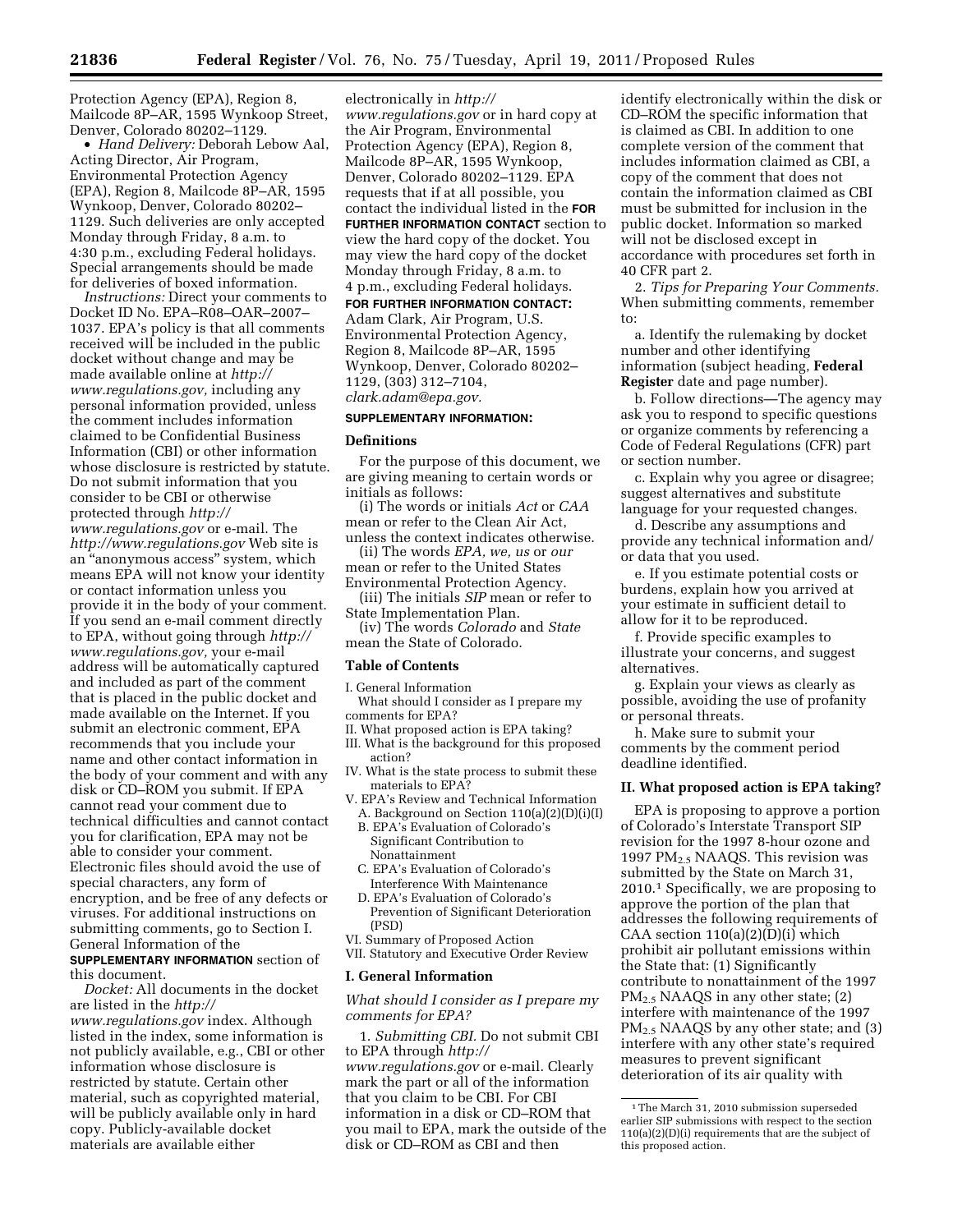Protection Agency (EPA), Region 8, Mailcode 8P–AR, 1595 Wynkoop Street, Denver, Colorado 80202–1129.

• *Hand Delivery:* Deborah Lebow Aal, Acting Director, Air Program, Environmental Protection Agency (EPA), Region 8, Mailcode 8P–AR, 1595 Wynkoop, Denver, Colorado 80202– 1129. Such deliveries are only accepted Monday through Friday, 8 a.m. to 4:30 p.m., excluding Federal holidays. Special arrangements should be made for deliveries of boxed information.

*Instructions:* Direct your comments to Docket ID No. EPA–R08–OAR–2007– 1037. EPA's policy is that all comments received will be included in the public docket without change and may be made available online at *[http://](http://www.regulations.gov)  [www.regulations.gov,](http://www.regulations.gov)* including any personal information provided, unless the comment includes information claimed to be Confidential Business Information (CBI) or other information whose disclosure is restricted by statute. Do not submit information that you consider to be CBI or otherwise protected through *[http://](http://www.regulations.gov)  [www.regulations.gov](http://www.regulations.gov)* or e-mail. The *<http://www.regulations.gov>* Web site is an ''anonymous access'' system, which means EPA will not know your identity or contact information unless you provide it in the body of your comment. If you send an e-mail comment directly to EPA, without going through *[http://](http://www.regulations.gov)  [www.regulations.gov,](http://www.regulations.gov)* your e-mail address will be automatically captured and included as part of the comment that is placed in the public docket and made available on the Internet. If you submit an electronic comment, EPA recommends that you include your name and other contact information in the body of your comment and with any disk or CD–ROM you submit. If EPA cannot read your comment due to technical difficulties and cannot contact you for clarification, EPA may not be able to consider your comment. Electronic files should avoid the use of special characters, any form of encryption, and be free of any defects or viruses. For additional instructions on submitting comments, go to Section I. General Information of the

**SUPPLEMENTARY INFORMATION** section of this document.

*Docket:* All documents in the docket are listed in the *[http://](http://www.regulations.gov) [www.regulations.gov](http://www.regulations.gov)* index. Although listed in the index, some information is not publicly available, e.g., CBI or other information whose disclosure is restricted by statute. Certain other material, such as copyrighted material, will be publicly available only in hard copy. Publicly-available docket materials are available either

electronically in *[http://](http://www.regulations.gov) [www.regulations.gov](http://www.regulations.gov)* or in hard copy at the Air Program, Environmental Protection Agency (EPA), Region 8, Mailcode 8P–AR, 1595 Wynkoop, Denver, Colorado 80202–1129. EPA requests that if at all possible, you contact the individual listed in the **FOR FURTHER INFORMATION CONTACT** section to view the hard copy of the docket. You may view the hard copy of the docket Monday through Friday, 8 a.m. to 4 p.m., excluding Federal holidays.

# **FOR FURTHER INFORMATION CONTACT:**

Adam Clark, Air Program, U.S. Environmental Protection Agency, Region 8, Mailcode 8P–AR, 1595 Wynkoop, Denver, Colorado 80202– 1129, (303) 312–7104, *[clark.adam@epa.gov.](mailto:clark.adam@epa.gov)* 

#### **SUPPLEMENTARY INFORMATION:**

#### **Definitions**

For the purpose of this document, we are giving meaning to certain words or initials as follows:

(i) The words or initials *Act* or *CAA*  mean or refer to the Clean Air Act, unless the context indicates otherwise.

(ii) The words *EPA, we, us* or *our*  mean or refer to the United States Environmental Protection Agency.

(iii) The initials *SIP* mean or refer to State Implementation Plan.

(iv) The words *Colorado* and *State*  mean the State of Colorado.

# **Table of Contents**

I. General Information What should I consider as I prepare my

comments for EPA?

- II. What proposed action is EPA taking?
- III. What is the background for this proposed action?
- IV. What is the state process to submit these materials to EPA?
- V. EPA's Review and Technical Information A. Background on Section 110(a)(2)(D)(i)(I)
	- B. EPA's Evaluation of Colorado's Significant Contribution to Nonattainment
	- C. EPA's Evaluation of Colorado's Interference With Maintenance D. EPA's Evaluation of Colorado's
- Prevention of Significant Deterioration (PSD)
- VI. Summary of Proposed Action

VII. Statutory and Executive Order Review

### **I. General Information**

*What should I consider as I prepare my comments for EPA?* 

1. *Submitting CBI.* Do not submit CBI to EPA through *[http://](http://www.regulations.gov) [www.regulations.gov](http://www.regulations.gov)* or e-mail. Clearly mark the part or all of the information that you claim to be CBI. For CBI information in a disk or CD–ROM that you mail to EPA, mark the outside of the disk or CD–ROM as CBI and then

identify electronically within the disk or CD–ROM the specific information that is claimed as CBI. In addition to one complete version of the comment that includes information claimed as CBI, a copy of the comment that does not contain the information claimed as CBI must be submitted for inclusion in the public docket. Information so marked will not be disclosed except in accordance with procedures set forth in 40 CFR part 2.

2. *Tips for Preparing Your Comments.*  When submitting comments, remember to:

a. Identify the rulemaking by docket number and other identifying information (subject heading, **Federal Register** date and page number).

b. Follow directions—The agency may ask you to respond to specific questions or organize comments by referencing a Code of Federal Regulations (CFR) part or section number.

c. Explain why you agree or disagree; suggest alternatives and substitute language for your requested changes.

d. Describe any assumptions and provide any technical information and/ or data that you used.

e. If you estimate potential costs or burdens, explain how you arrived at your estimate in sufficient detail to allow for it to be reproduced.

f. Provide specific examples to illustrate your concerns, and suggest alternatives.

g. Explain your views as clearly as possible, avoiding the use of profanity or personal threats.

h. Make sure to submit your comments by the comment period deadline identified.

#### **II. What proposed action is EPA taking?**

EPA is proposing to approve a portion of Colorado's Interstate Transport SIP revision for the 1997 8-hour ozone and 1997  $PM<sub>2.5</sub> NAAGS$ . This revision was submitted by the State on March 31, 2010.1 Specifically, we are proposing to approve the portion of the plan that addresses the following requirements of CAA section  $110(a)(2)(D)(i)$  which prohibit air pollutant emissions within the State that: (1) Significantly contribute to nonattainment of the 1997 PM2.5 NAAQS in any other state; (2) interfere with maintenance of the 1997 PM2.5 NAAQS by any other state; and (3) interfere with any other state's required measures to prevent significant deterioration of its air quality with

<sup>1</sup>The March 31, 2010 submission superseded earlier SIP submissions with respect to the section 110(a)(2)(D)(i) requirements that are the subject of this proposed action.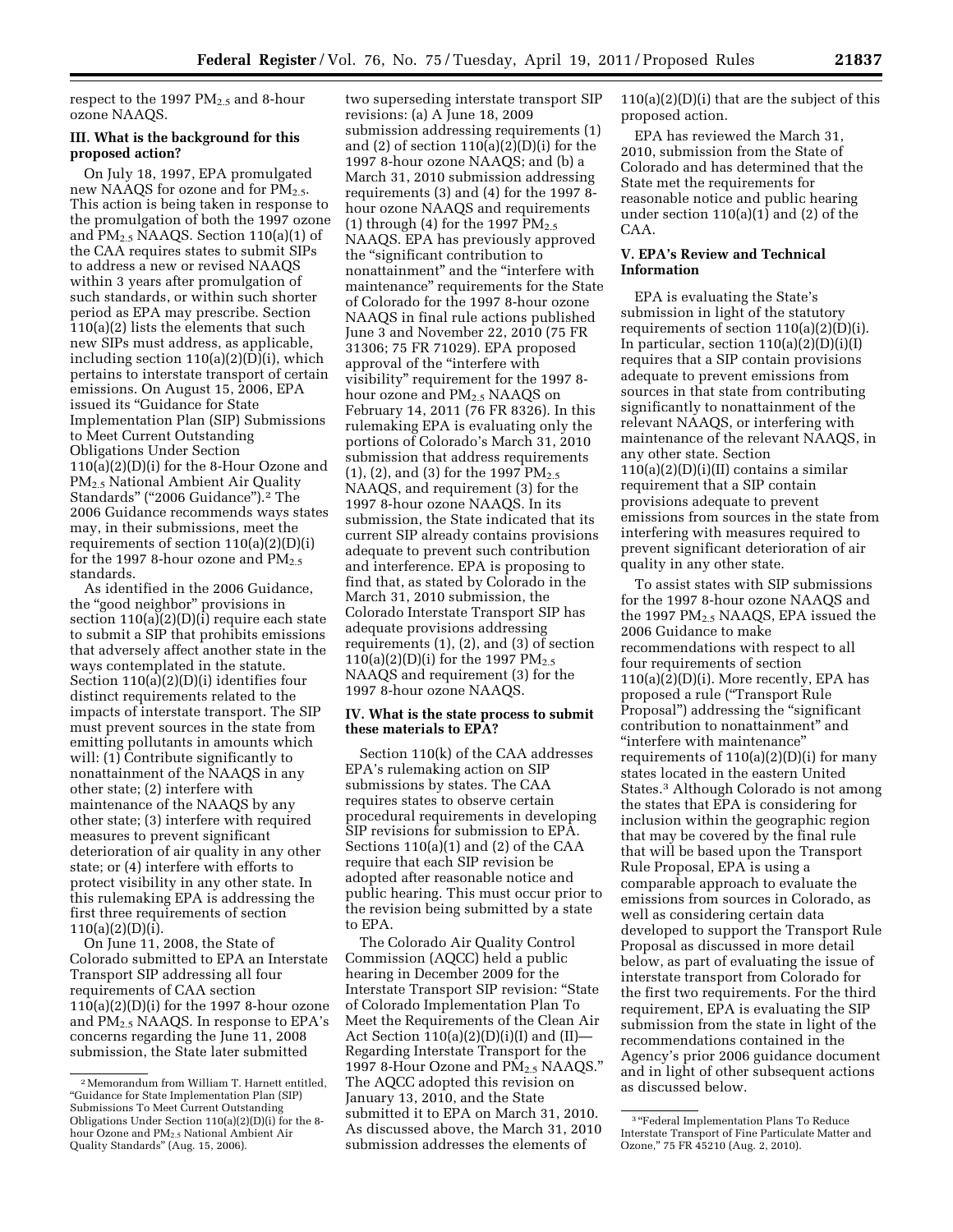respect to the 1997 PM<sub>2.5</sub> and 8-hour ozone NAAQS.

## **III. What is the background for this proposed action?**

On July 18, 1997, EPA promulgated new NAAQS for ozone and for PM2.5. This action is being taken in response to the promulgation of both the 1997 ozone and  $PM_{2.5}$  NAAQS. Section 110(a)(1) of the CAA requires states to submit SIPs to address a new or revised NAAQS within 3 years after promulgation of such standards, or within such shorter period as EPA may prescribe. Section 110(a)(2) lists the elements that such new SIPs must address, as applicable, including section  $110(a)(2)(\overline{D})(i)$ , which pertains to interstate transport of certain emissions. On August 15, 2006, EPA issued its ''Guidance for State Implementation Plan (SIP) Submissions to Meet Current Outstanding Obligations Under Section 110(a)(2)(D)(i) for the 8-Hour Ozone and PM2.5 National Ambient Air Quality Standards" ("2006 Guidance").<sup>2</sup> The 2006 Guidance recommends ways states may, in their submissions, meet the requirements of section 110(a)(2)(D)(i) for the 1997 8-hour ozone and  $PM_{2.5}$ standards.

As identified in the 2006 Guidance, the ''good neighbor'' provisions in section  $110(a)(2)(D)(i)$  require each state to submit a SIP that prohibits emissions that adversely affect another state in the ways contemplated in the statute. Section 110(a)(2)(D)(i) identifies four distinct requirements related to the impacts of interstate transport. The SIP must prevent sources in the state from emitting pollutants in amounts which will: (1) Contribute significantly to nonattainment of the NAAQS in any other state; (2) interfere with maintenance of the NAAQS by any other state; (3) interfere with required measures to prevent significant deterioration of air quality in any other state; or (4) interfere with efforts to protect visibility in any other state. In this rulemaking EPA is addressing the first three requirements of section 110(a)(2)(D)(i).

On June 11, 2008, the State of Colorado submitted to EPA an Interstate Transport SIP addressing all four requirements of CAA section  $110(a)(2)(D)(i)$  for the 1997 8-hour ozone and PM2.5 NAAQS. In response to EPA's concerns regarding the June 11, 2008 submission, the State later submitted

two superseding interstate transport SIP revisions: (a) A June 18, 2009 submission addressing requirements (1) and  $(2)$  of section  $110(a)(2)(D)(i)$  for the 1997 8-hour ozone NAAQS; and (b) a March 31, 2010 submission addressing requirements (3) and (4) for the 1997 8 hour ozone NAAQS and requirements (1) through (4) for the 1997  $PM_{2.5}$ NAAQS. EPA has previously approved the ''significant contribution to nonattainment'' and the ''interfere with maintenance'' requirements for the State of Colorado for the 1997 8-hour ozone NAAQS in final rule actions published June 3 and November 22, 2010 (75 FR 31306; 75 FR 71029). EPA proposed approval of the ''interfere with visibility'' requirement for the 1997 8 hour ozone and PM<sub>2.5</sub> NAAQS on February 14, 2011 (76 FR 8326). In this rulemaking EPA is evaluating only the portions of Colorado's March 31, 2010 submission that address requirements  $(1)$ ,  $(2)$ , and  $(3)$  for the 1997 PM<sub>2.5</sub> NAAQS, and requirement (3) for the 1997 8-hour ozone NAAQS. In its submission, the State indicated that its current SIP already contains provisions adequate to prevent such contribution and interference. EPA is proposing to find that, as stated by Colorado in the March 31, 2010 submission, the Colorado Interstate Transport SIP has adequate provisions addressing requirements (1), (2), and (3) of section 110(a)(2)(D)(i) for the 1997  $PM_{2.5}$ NAAQS and requirement (3) for the 1997 8-hour ozone NAAQS.

### **IV. What is the state process to submit these materials to EPA?**

Section 110(k) of the CAA addresses EPA's rulemaking action on SIP submissions by states. The CAA requires states to observe certain procedural requirements in developing SIP revisions for submission to EPA. Sections 110(a)(1) and (2) of the CAA require that each SIP revision be adopted after reasonable notice and public hearing. This must occur prior to the revision being submitted by a state to EPA.

The Colorado Air Quality Control Commission (AQCC) held a public hearing in December 2009 for the Interstate Transport SIP revision: ''State of Colorado Implementation Plan To Meet the Requirements of the Clean Air Act Section 110(a)(2)(D)(i)(I) and (II)— Regarding Interstate Transport for the 1997 8-Hour Ozone and PM<sub>2.5</sub> NAAQS." The AQCC adopted this revision on January 13, 2010, and the State submitted it to EPA on March 31, 2010. As discussed above, the March 31, 2010 submission addresses the elements of

 $110(a)(2)(D)(i)$  that are the subject of this proposed action.

EPA has reviewed the March 31, 2010, submission from the State of Colorado and has determined that the State met the requirements for reasonable notice and public hearing under section 110(a)(1) and (2) of the CAA.

# **V. EPA's Review and Technical Information**

EPA is evaluating the State's submission in light of the statutory requirements of section 110(a)(2)(D)(i). In particular, section  $110(a)(2)(D)(i)(I)$ requires that a SIP contain provisions adequate to prevent emissions from sources in that state from contributing significantly to nonattainment of the relevant NAAQS, or interfering with maintenance of the relevant NAAQS, in any other state. Section  $110(a)(2)(D)(i)(II)$  contains a similar requirement that a SIP contain provisions adequate to prevent emissions from sources in the state from interfering with measures required to prevent significant deterioration of air quality in any other state.

To assist states with SIP submissions for the 1997 8-hour ozone NAAQS and the 1997 PM2.5 NAAQS, EPA issued the 2006 Guidance to make recommendations with respect to all four requirements of section 110(a)(2)(D)(i). More recently, EPA has proposed a rule (''Transport Rule Proposal") addressing the "significant" contribution to nonattainment'' and ''interfere with maintenance'' requirements of  $110(a)(2)(D)(i)$  for many states located in the eastern United States.3 Although Colorado is not among the states that EPA is considering for inclusion within the geographic region that may be covered by the final rule that will be based upon the Transport Rule Proposal, EPA is using a comparable approach to evaluate the emissions from sources in Colorado, as well as considering certain data developed to support the Transport Rule Proposal as discussed in more detail below, as part of evaluating the issue of interstate transport from Colorado for the first two requirements. For the third requirement, EPA is evaluating the SIP submission from the state in light of the recommendations contained in the Agency's prior 2006 guidance document and in light of other subsequent actions as discussed below.

<sup>2</sup>Memorandum from William T. Harnett entitled, ''Guidance for State Implementation Plan (SIP) Submissions To Meet Current Outstanding Obligations Under Section 110(a)(2)(D)(i) for the 8 hour Ozone and PM2.5 National Ambient Air Quality Standards'' (Aug. 15, 2006).

<sup>&</sup>lt;sup>3</sup> "Federal Implementation Plans To Reduce Interstate Transport of Fine Particulate Matter and Ozone,'' 75 FR 45210 (Aug. 2, 2010).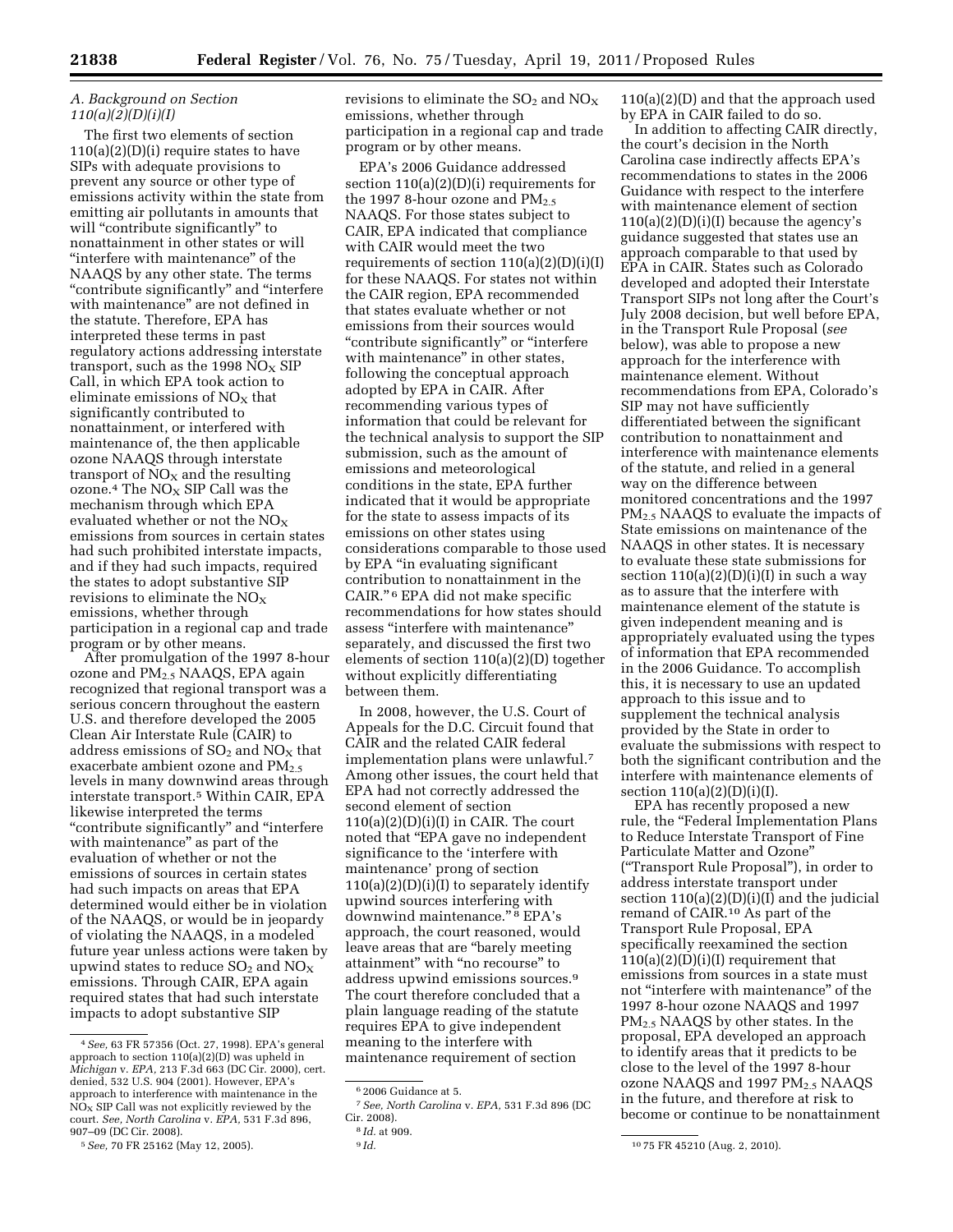# *A. Background on Section 110(a)(2)(D)(i)(I)*

The first two elements of section  $110(a)(2)(D)(i)$  require states to have SIPs with adequate provisions to prevent any source or other type of emissions activity within the state from emitting air pollutants in amounts that will "contribute significantly" to nonattainment in other states or will ''interfere with maintenance'' of the NAAQS by any other state. The terms ''contribute significantly'' and ''interfere with maintenance'' are not defined in the statute. Therefore, EPA has interpreted these terms in past regulatory actions addressing interstate transport, such as the 1998  $NO<sub>x</sub>$  SIP Call, in which EPA took action to eliminate emissions of  $NO<sub>x</sub>$  that significantly contributed to nonattainment, or interfered with maintenance of, the then applicable ozone NAAQS through interstate transport of  $NO<sub>X</sub>$  and the resulting ozone.<sup>4</sup> The  $NO<sub>X</sub>$  SIP Call was the mechanism through which EPA evaluated whether or not the  $NO<sub>x</sub>$ emissions from sources in certain states had such prohibited interstate impacts, and if they had such impacts, required the states to adopt substantive SIP revisions to eliminate the  $NO<sub>x</sub>$ emissions, whether through participation in a regional cap and trade program or by other means.

After promulgation of the 1997 8-hour ozone and PM<sub>2.5</sub> NAAQS, EPA again recognized that regional transport was a serious concern throughout the eastern U.S. and therefore developed the 2005 Clean Air Interstate Rule (CAIR) to address emissions of  $SO<sub>2</sub>$  and  $NO<sub>X</sub>$  that exacerbate ambient ozone and  $PM_{2.5}$ levels in many downwind areas through interstate transport.5 Within CAIR, EPA likewise interpreted the terms "contribute significantly" and "interfere with maintenance'' as part of the evaluation of whether or not the emissions of sources in certain states had such impacts on areas that EPA determined would either be in violation of the NAAQS, or would be in jeopardy of violating the NAAQS, in a modeled future year unless actions were taken by upwind states to reduce  $SO_2$  and  $NO_X$ emissions. Through CAIR, EPA again required states that had such interstate impacts to adopt substantive SIP

revisions to eliminate the  $SO_2$  and  $NO_X$ emissions, whether through participation in a regional cap and trade program or by other means.

EPA's 2006 Guidance addressed section  $110(a)(2)(D)(i)$  requirements for the 1997 8-hour ozone and  $PM_{2.5}$ NAAQS. For those states subject to CAIR, EPA indicated that compliance with CAIR would meet the two requirements of section  $110(a)(2)(D)(i)(I)$ for these NAAQS. For states not within the CAIR region, EPA recommended that states evaluate whether or not emissions from their sources would ''contribute significantly'' or ''interfere with maintenance'' in other states, following the conceptual approach adopted by EPA in CAIR. After recommending various types of information that could be relevant for the technical analysis to support the SIP submission, such as the amount of emissions and meteorological conditions in the state, EPA further indicated that it would be appropriate for the state to assess impacts of its emissions on other states using considerations comparable to those used by EPA ''in evaluating significant contribution to nonattainment in the CAIR.'' 6 EPA did not make specific recommendations for how states should assess ''interfere with maintenance'' separately, and discussed the first two elements of section 110(a)(2)(D) together without explicitly differentiating between them.

In 2008, however, the U.S. Court of Appeals for the D.C. Circuit found that CAIR and the related CAIR federal implementation plans were unlawful.7 Among other issues, the court held that EPA had not correctly addressed the second element of section  $110(a)(2)(D)(i)(I)$  in CAIR. The court noted that ''EPA gave no independent significance to the 'interfere with maintenance' prong of section 110(a)(2)(D)(i)(I) to separately identify upwind sources interfering with downwind maintenance." <sup>8</sup> EPA's approach, the court reasoned, would leave areas that are ''barely meeting attainment'' with ''no recourse'' to address upwind emissions sources.9 The court therefore concluded that a plain language reading of the statute requires EPA to give independent meaning to the interfere with maintenance requirement of section

110(a)(2)(D) and that the approach used by EPA in CAIR failed to do so.

In addition to affecting CAIR directly, the court's decision in the North Carolina case indirectly affects EPA's recommendations to states in the 2006 Guidance with respect to the interfere with maintenance element of section  $110(a)(2)(D)(i)(I)$  because the agency's guidance suggested that states use an approach comparable to that used by EPA in CAIR. States such as Colorado developed and adopted their Interstate Transport SIPs not long after the Court's July 2008 decision, but well before EPA, in the Transport Rule Proposal (*see*  below), was able to propose a new approach for the interference with maintenance element. Without recommendations from EPA, Colorado's SIP may not have sufficiently differentiated between the significant contribution to nonattainment and interference with maintenance elements of the statute, and relied in a general way on the difference between monitored concentrations and the 1997 PM2.5 NAAQS to evaluate the impacts of State emissions on maintenance of the NAAQS in other states. It is necessary to evaluate these state submissions for section  $110(a)(2)(D)(i)(I)$  in such a way as to assure that the interfere with maintenance element of the statute is given independent meaning and is appropriately evaluated using the types of information that EPA recommended in the 2006 Guidance. To accomplish this, it is necessary to use an updated approach to this issue and to supplement the technical analysis provided by the State in order to evaluate the submissions with respect to both the significant contribution and the interfere with maintenance elements of section  $110(a)(2)(D)(i)(I)$ .

EPA has recently proposed a new rule, the ''Federal Implementation Plans to Reduce Interstate Transport of Fine Particulate Matter and Ozone'' (''Transport Rule Proposal''), in order to address interstate transport under section  $110(a)(2)(D)(i)(I)$  and the judicial remand of CAIR.10 As part of the Transport Rule Proposal, EPA specifically reexamined the section  $110(a)(2)(D)(i)(I)$  requirement that emissions from sources in a state must not ''interfere with maintenance'' of the 1997 8-hour ozone NAAQS and 1997 PM2.5 NAAQS by other states. In the proposal, EPA developed an approach to identify areas that it predicts to be close to the level of the 1997 8-hour ozone NAAQS and 1997 PM<sub>2.5</sub> NAAQS in the future, and therefore at risk to become or continue to be nonattainment

<sup>4</sup>*See,* 63 FR 57356 (Oct. 27, 1998). EPA's general approach to section 110(a)(2)(D) was upheld in *Michigan* v. *EPA,* 213 F.3d 663 (DC Cir. 2000), cert. denied, 532 U.S. 904 (2001). However, EPA's approach to interference with maintenance in the  $NO<sub>x</sub>$  SIP Call was not explicitly reviewed by the court. *See, North Carolina* v. *EPA,* 531 F.3d 896, 907–09 (DC Cir. 2008).

<sup>5</sup>*See,* 70 FR 25162 (May 12, 2005).

<sup>6</sup> 2006 Guidance at 5.

<sup>7</sup>*See, North Carolina* v. *EPA,* 531 F.3d 896 (DC Cir. 2008).

<sup>8</sup> *Id.* at 909.

<sup>9</sup> *Id.* 10 75 FR 45210 (Aug. 2, 2010).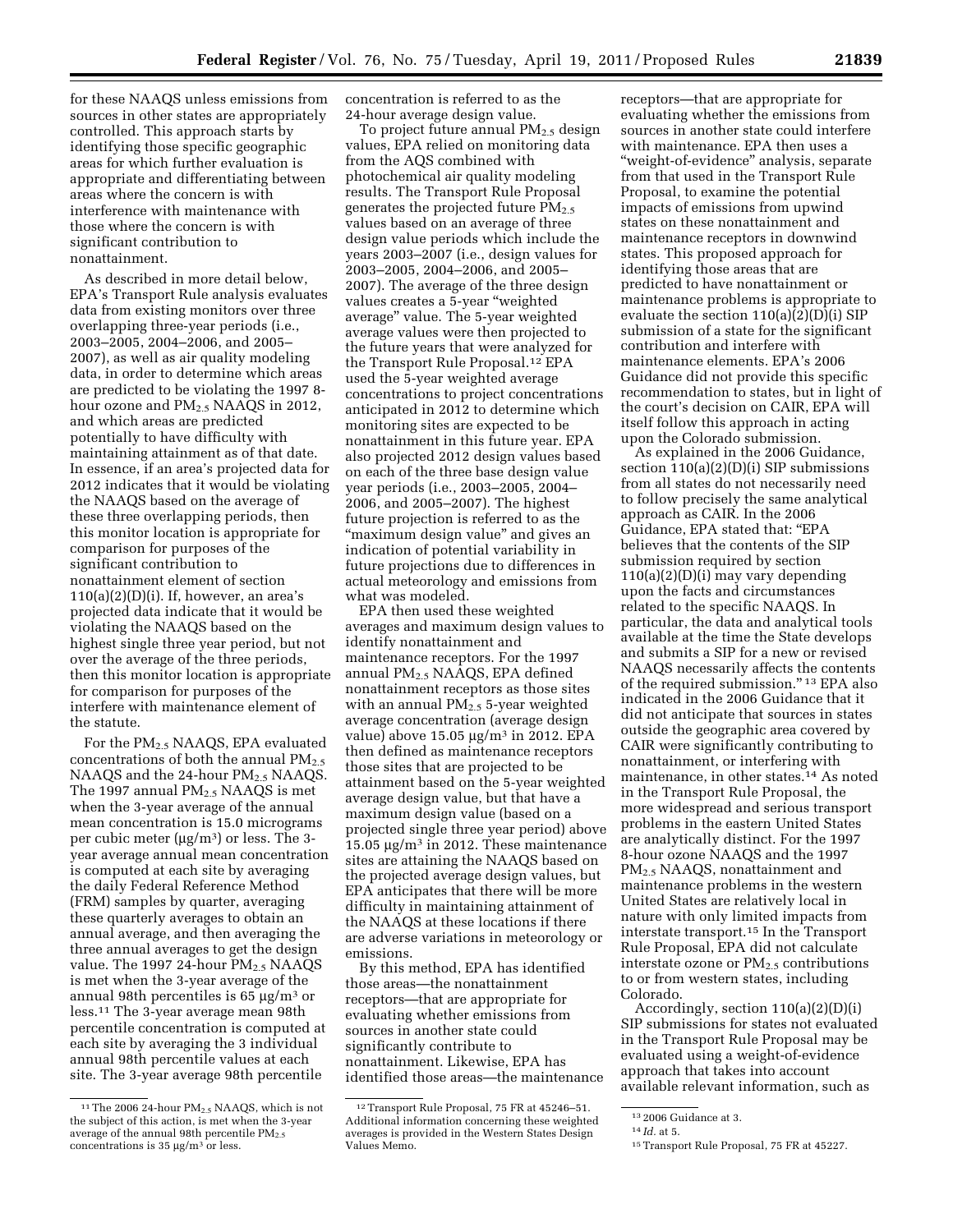for these NAAQS unless emissions from sources in other states are appropriately controlled. This approach starts by identifying those specific geographic areas for which further evaluation is appropriate and differentiating between areas where the concern is with interference with maintenance with those where the concern is with significant contribution to nonattainment.

As described in more detail below, EPA's Transport Rule analysis evaluates data from existing monitors over three overlapping three-year periods (i.e., 2003–2005, 2004–2006, and 2005– 2007), as well as air quality modeling data, in order to determine which areas are predicted to be violating the 1997 8 hour ozone and  $PM<sub>2.5</sub> NAAQS$  in 2012, and which areas are predicted potentially to have difficulty with maintaining attainment as of that date. In essence, if an area's projected data for 2012 indicates that it would be violating the NAAQS based on the average of these three overlapping periods, then this monitor location is appropriate for comparison for purposes of the significant contribution to nonattainment element of section  $110(a)(2)(D)(i)$ . If, however, an area's projected data indicate that it would be violating the NAAQS based on the highest single three year period, but not over the average of the three periods, then this monitor location is appropriate for comparison for purposes of the interfere with maintenance element of the statute.

For the PM2.5 NAAQS, EPA evaluated concentrations of both the annual  $PM_{2.5}$ NAAQS and the 24-hour  $PM_{2.5}$  NAAQS. The 1997 annual  $PM_{2.5}$  NAAQS is met when the 3-year average of the annual mean concentration is 15.0 micrograms per cubic meter  $(\mu g/m^3)$  or less. The 3year average annual mean concentration is computed at each site by averaging the daily Federal Reference Method (FRM) samples by quarter, averaging these quarterly averages to obtain an annual average, and then averaging the three annual averages to get the design value. The 1997 24-hour  $PM<sub>2.5</sub> NAAQS$ is met when the 3-year average of the annual 98th percentiles is  $65 \mu g/m^3$  or less.11 The 3-year average mean 98th percentile concentration is computed at each site by averaging the 3 individual annual 98th percentile values at each site. The 3-year average 98th percentile

concentration is referred to as the 24-hour average design value.

To project future annual  $PM_{2.5}$  design values, EPA relied on monitoring data from the AQS combined with photochemical air quality modeling results. The Transport Rule Proposal generates the projected future  $PM_{2.5}$ values based on an average of three design value periods which include the years 2003–2007 (i.e., design values for 2003–2005, 2004–2006, and 2005– 2007). The average of the three design values creates a 5-year ''weighted average'' value. The 5-year weighted average values were then projected to the future years that were analyzed for the Transport Rule Proposal.12 EPA used the 5-year weighted average concentrations to project concentrations anticipated in 2012 to determine which monitoring sites are expected to be nonattainment in this future year. EPA also projected 2012 design values based on each of the three base design value year periods (i.e., 2003–2005, 2004– 2006, and 2005–2007). The highest future projection is referred to as the ''maximum design value'' and gives an indication of potential variability in future projections due to differences in actual meteorology and emissions from what was modeled.

EPA then used these weighted averages and maximum design values to identify nonattainment and maintenance receptors. For the 1997 annual PM2.5 NAAQS, EPA defined nonattainment receptors as those sites with an annual  $PM_{2.5}$  5-year weighted average concentration (average design value) above 15.05  $\mu$ g/m<sup>3</sup> in 2012. EPA then defined as maintenance receptors those sites that are projected to be attainment based on the 5-year weighted average design value, but that have a maximum design value (based on a projected single three year period) above 15.05  $\mu$ g/m<sup>3</sup> in 2012. These maintenance sites are attaining the NAAQS based on the projected average design values, but EPA anticipates that there will be more difficulty in maintaining attainment of the NAAQS at these locations if there are adverse variations in meteorology or emissions.

By this method, EPA has identified those areas—the nonattainment receptors—that are appropriate for evaluating whether emissions from sources in another state could significantly contribute to nonattainment. Likewise, EPA has identified those areas—the maintenance

receptors—that are appropriate for evaluating whether the emissions from sources in another state could interfere with maintenance. EPA then uses a ''weight-of-evidence'' analysis, separate from that used in the Transport Rule Proposal, to examine the potential impacts of emissions from upwind states on these nonattainment and maintenance receptors in downwind states. This proposed approach for identifying those areas that are predicted to have nonattainment or maintenance problems is appropriate to evaluate the section 110(a)(2)(D)(i) SIP submission of a state for the significant contribution and interfere with maintenance elements. EPA's 2006 Guidance did not provide this specific recommendation to states, but in light of the court's decision on CAIR, EPA will itself follow this approach in acting upon the Colorado submission.

As explained in the 2006 Guidance, section 110(a)(2)(D)(i) SIP submissions from all states do not necessarily need to follow precisely the same analytical approach as CAIR. In the 2006 Guidance, EPA stated that: ''EPA believes that the contents of the SIP submission required by section  $110(a)(2)(D)(i)$  may vary depending upon the facts and circumstances related to the specific NAAQS. In particular, the data and analytical tools available at the time the State develops and submits a SIP for a new or revised NAAQS necessarily affects the contents of the required submission.'' 13 EPA also indicated in the 2006 Guidance that it did not anticipate that sources in states outside the geographic area covered by CAIR were significantly contributing to nonattainment, or interfering with maintenance, in other states.14 As noted in the Transport Rule Proposal, the more widespread and serious transport problems in the eastern United States are analytically distinct. For the 1997 8-hour ozone NAAQS and the 1997 PM2.5 NAAQS, nonattainment and maintenance problems in the western United States are relatively local in nature with only limited impacts from interstate transport.15 In the Transport Rule Proposal, EPA did not calculate interstate ozone or  $PM_{2.5}$  contributions to or from western states, including Colorado.

Accordingly, section 110(a)(2)(D)(i) SIP submissions for states not evaluated in the Transport Rule Proposal may be evaluated using a weight-of-evidence approach that takes into account available relevant information, such as

<sup>&</sup>lt;sup>11</sup> The 2006 24-hour  $PM_{2.5}$  NAAQS, which is not the subject of this action, is met when the 3-year average of the annual 98th percentile PM<sub>2.5</sub> concentrations is  $35 \mu g/m^3$  or less.

<sup>12</sup>Transport Rule Proposal, 75 FR at 45246–51. Additional information concerning these weighted averages is provided in the Western States Design Values Memo.

<sup>13</sup> 2006 Guidance at 3.

<sup>14</sup> *Id.* at 5.

<sup>15</sup>Transport Rule Proposal, 75 FR at 45227.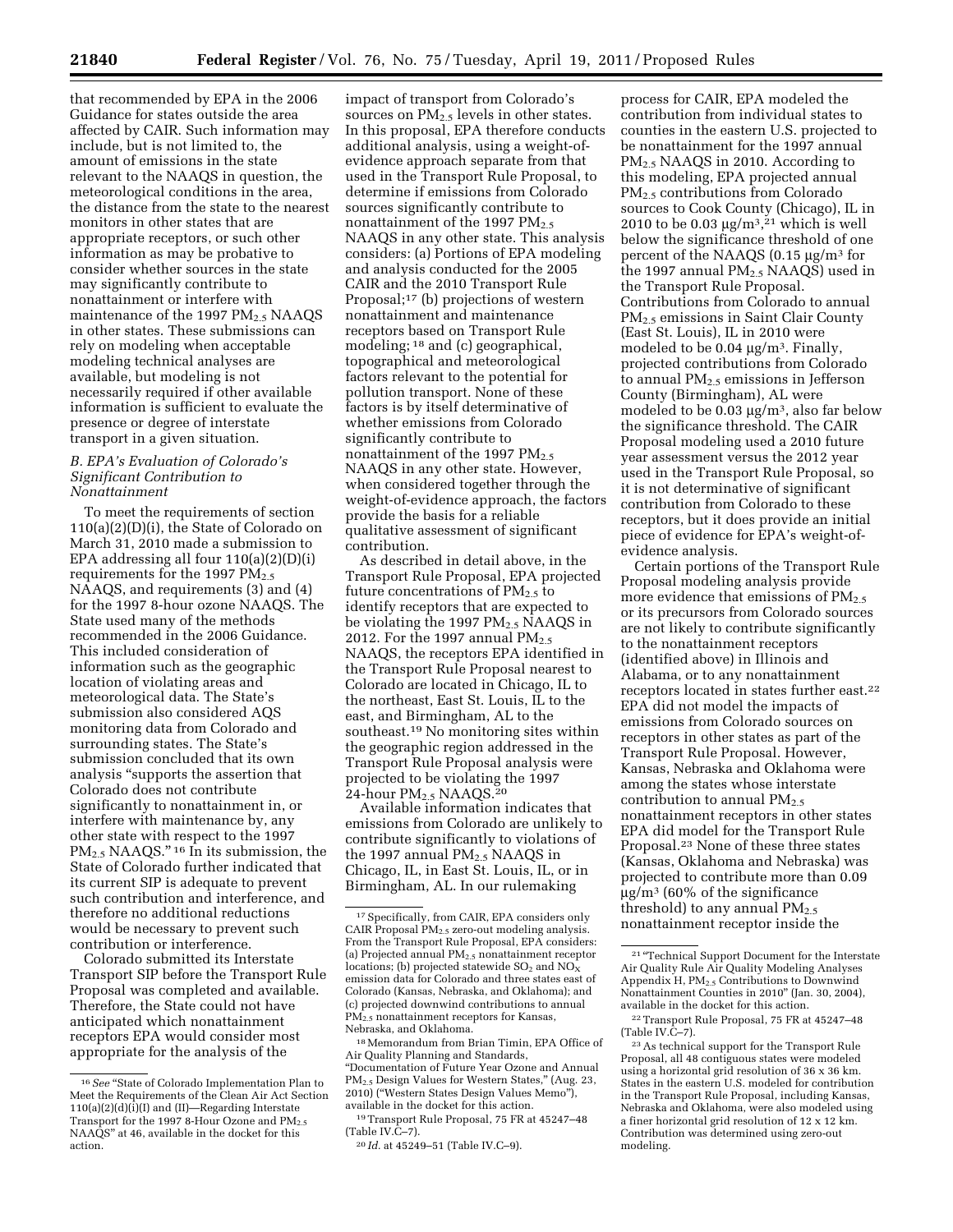that recommended by EPA in the 2006 Guidance for states outside the area affected by CAIR. Such information may include, but is not limited to, the amount of emissions in the state relevant to the NAAQS in question, the meteorological conditions in the area, the distance from the state to the nearest monitors in other states that are appropriate receptors, or such other information as may be probative to consider whether sources in the state may significantly contribute to nonattainment or interfere with maintenance of the 1997 PM<sub>2.5</sub> NAAQS in other states. These submissions can rely on modeling when acceptable modeling technical analyses are available, but modeling is not necessarily required if other available information is sufficient to evaluate the presence or degree of interstate transport in a given situation.

### *B. EPA's Evaluation of Colorado's Significant Contribution to Nonattainment*

To meet the requirements of section 110(a)(2)(D)(i), the State of Colorado on March 31, 2010 made a submission to EPA addressing all four  $110(a)(2)(D)(i)$ requirements for the 1997  $PM_{2.5}$ NAAQS, and requirements (3) and (4) for the 1997 8-hour ozone NAAQS. The State used many of the methods recommended in the 2006 Guidance. This included consideration of information such as the geographic location of violating areas and meteorological data. The State's submission also considered AQS monitoring data from Colorado and surrounding states. The State's submission concluded that its own analysis ''supports the assertion that Colorado does not contribute significantly to nonattainment in, or interfere with maintenance by, any other state with respect to the 1997  $PM_{2.5}$  NAAQS."<sup>16</sup> In its submission, the State of Colorado further indicated that its current SIP is adequate to prevent such contribution and interference, and therefore no additional reductions would be necessary to prevent such contribution or interference.

Colorado submitted its Interstate Transport SIP before the Transport Rule Proposal was completed and available. Therefore, the State could not have anticipated which nonattainment receptors EPA would consider most appropriate for the analysis of the

impact of transport from Colorado's sources on  $PM_{2.5}$  levels in other states. In this proposal, EPA therefore conducts additional analysis, using a weight-ofevidence approach separate from that used in the Transport Rule Proposal, to determine if emissions from Colorado sources significantly contribute to nonattainment of the 1997  $PM_{2.5}$ NAAQS in any other state. This analysis considers: (a) Portions of EPA modeling and analysis conducted for the 2005 CAIR and the 2010 Transport Rule Proposal;17 (b) projections of western nonattainment and maintenance receptors based on Transport Rule modeling; 18 and (c) geographical, topographical and meteorological factors relevant to the potential for pollution transport. None of these factors is by itself determinative of whether emissions from Colorado significantly contribute to nonattainment of the 1997  $PM_{2.5}$ NAAQS in any other state. However, when considered together through the weight-of-evidence approach, the factors provide the basis for a reliable qualitative assessment of significant contribution.

As described in detail above, in the Transport Rule Proposal, EPA projected future concentrations of  $PM_{2.5}$  to identify receptors that are expected to be violating the 1997  $PM<sub>2.5</sub> NAAQS$  in 2012. For the 1997 annual  $PM_{2.5}$ NAAQS, the receptors EPA identified in the Transport Rule Proposal nearest to Colorado are located in Chicago, IL to the northeast, East St. Louis, IL to the east, and Birmingham, AL to the southeast.19 No monitoring sites within the geographic region addressed in the Transport Rule Proposal analysis were projected to be violating the 1997  $24$ -hour PM<sub>2.5</sub> NAAQS.<sup>20</sup>

Available information indicates that emissions from Colorado are unlikely to contribute significantly to violations of the 1997 annual PM<sub>2.5</sub> NAAQS in Chicago, IL, in East St. Louis, IL, or in Birmingham, AL. In our rulemaking

19Transport Rule Proposal, 75 FR at 45247–48 (Table IV.C–7).

process for CAIR, EPA modeled the contribution from individual states to counties in the eastern U.S. projected to be nonattainment for the 1997 annual PM2.5 NAAQS in 2010. According to this modeling, EPA projected annual PM2.5 contributions from Colorado sources to Cook County (Chicago), IL in 2010 to be 0.03  $\mu$ g/m<sup>3</sup>,<sup>21</sup> which is well below the significance threshold of one percent of the NAAQS (0.15 μg/m3 for the 1997 annual  $PM<sub>2.5</sub> NAAQS$  used in the Transport Rule Proposal. Contributions from Colorado to annual PM2.5 emissions in Saint Clair County (East St. Louis), IL in 2010 were modeled to be 0.04 μg/m<sup>3</sup>. Finally, projected contributions from Colorado to annual PM2.5 emissions in Jefferson County (Birmingham), AL were modeled to be  $0.03 \mu g/m^3$ , also far below the significance threshold. The CAIR Proposal modeling used a 2010 future year assessment versus the 2012 year used in the Transport Rule Proposal, so it is not determinative of significant contribution from Colorado to these receptors, but it does provide an initial piece of evidence for EPA's weight-ofevidence analysis.

Certain portions of the Transport Rule Proposal modeling analysis provide more evidence that emissions of  $PM_{2.5}$ or its precursors from Colorado sources are not likely to contribute significantly to the nonattainment receptors (identified above) in Illinois and Alabama, or to any nonattainment receptors located in states further east.22 EPA did not model the impacts of emissions from Colorado sources on receptors in other states as part of the Transport Rule Proposal. However, Kansas, Nebraska and Oklahoma were among the states whose interstate contribution to annual  $PM_{2.5}$ nonattainment receptors in other states EPA did model for the Transport Rule Proposal.23 None of these three states (Kansas, Oklahoma and Nebraska) was projected to contribute more than 0.09  $\mu$ g/m<sup>3</sup> (60% of the significance threshold) to any annual  $PM_{2.5}$ nonattainment receptor inside the

<sup>&</sup>lt;sup>16</sup> See "State of Colorado Implementation Plan to Meet the Requirements of the Clean Air Act Section  $110(a)(2)(d)(i)(I)$  and (II)—Regarding Interstate Transport for the 1997 8-Hour Ozone and PM<sub>2.5</sub> NAAQS'' at 46, available in the docket for this action.

<sup>17</sup>Specifically, from CAIR, EPA considers only CAIR Proposal PM2.5 zero-out modeling analysis. From the Transport Rule Proposal, EPA considers: (a) Projected annual  $PM_{2.5}$  nonattainment receptor locations; (b) projected statewide  $SO_2$  and  $NO_X$ emission data for Colorado and three states east of Colorado (Kansas, Nebraska, and Oklahoma); and (c) projected downwind contributions to annual PM<sub>2.5</sub> nonattainment receptors for Kansas, Nebraska, and Oklahoma.

<sup>18</sup>Memorandum from Brian Timin, EPA Office of Air Quality Planning and Standards, ''Documentation of Future Year Ozone and Annual PM<sub>2.5</sub> Design Values for Western States," (Aug. 23, 2010) (''Western States Design Values Memo''), available in the docket for this action.

<sup>20</sup> *Id.* at 45249–51 (Table IV.C–9).

<sup>&</sup>lt;sup>21</sup> "Technical Support Document for the Interstate Air Quality Rule Air Quality Modeling Analyses Appendix H, PM2.5 Contributions to Downwind Nonattainment Counties in 2010'' (Jan. 30, 2004), available in the docket for this action.

<sup>22</sup>Transport Rule Proposal, 75 FR at 45247–48 (Table IV.C–7).

<sup>23</sup>As technical support for the Transport Rule Proposal, all 48 contiguous states were modeled using a horizontal grid resolution of 36 x 36 km. States in the eastern U.S. modeled for contribution in the Transport Rule Proposal, including Kansas, Nebraska and Oklahoma, were also modeled using a finer horizontal grid resolution of 12 x 12 km. Contribution was determined using zero-out modeling.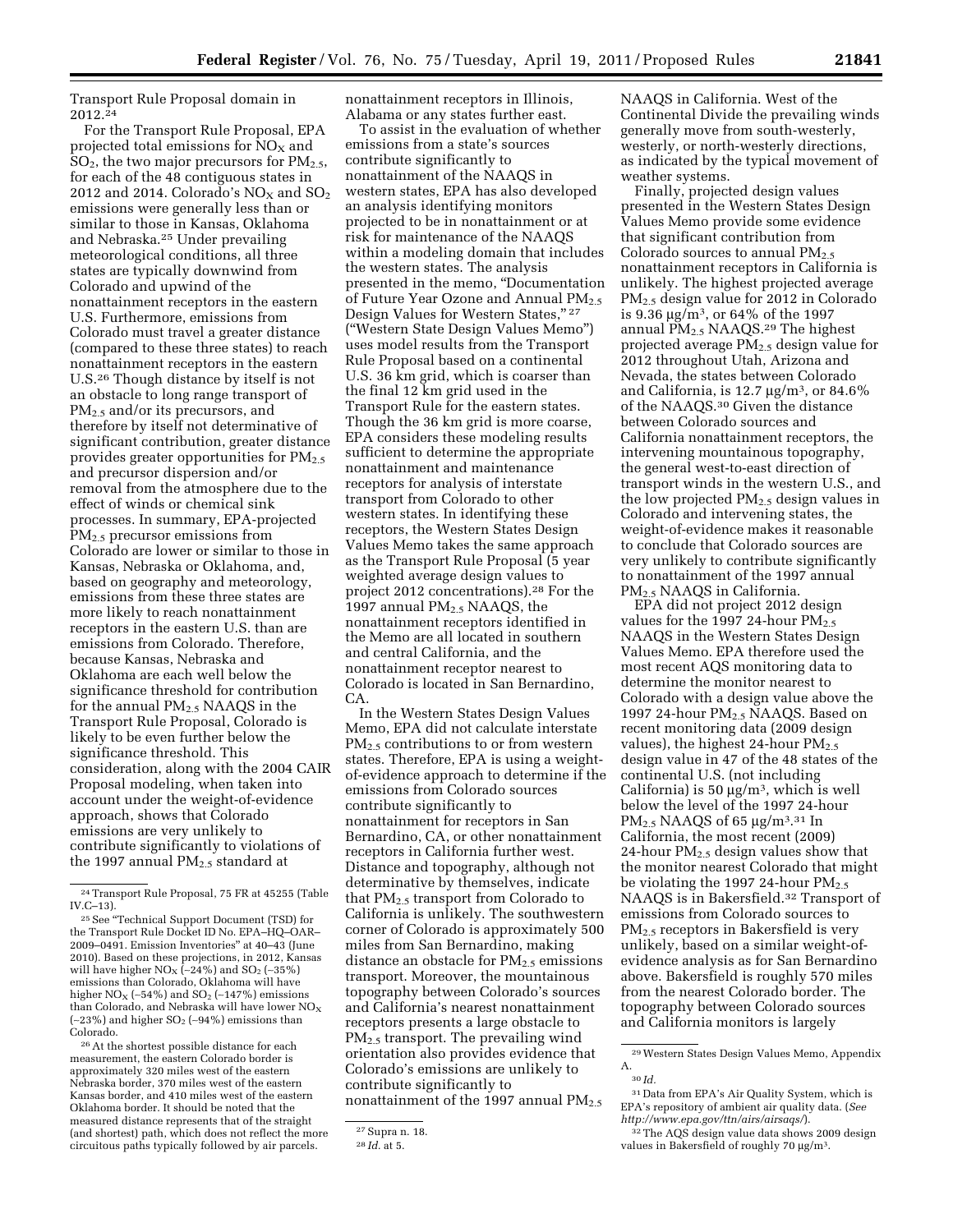Transport Rule Proposal domain in 2012.24

For the Transport Rule Proposal, EPA projected total emissions for  $NO<sub>x</sub>$  and  $SO<sub>2</sub>$ , the two major precursors for  $PM<sub>2.5</sub>$ , for each of the 48 contiguous states in 2012 and 2014. Colorado's  $NO<sub>x</sub>$  and  $SO<sub>2</sub>$ emissions were generally less than or similar to those in Kansas, Oklahoma and Nebraska.25 Under prevailing meteorological conditions, all three states are typically downwind from Colorado and upwind of the nonattainment receptors in the eastern U.S. Furthermore, emissions from Colorado must travel a greater distance (compared to these three states) to reach nonattainment receptors in the eastern U.S.26 Though distance by itself is not an obstacle to long range transport of PM<sub>2.5</sub> and/or its precursors, and therefore by itself not determinative of significant contribution, greater distance provides greater opportunities for  $PM_{2.5}$ and precursor dispersion and/or removal from the atmosphere due to the effect of winds or chemical sink processes. In summary, EPA-projected PM2.5 precursor emissions from Colorado are lower or similar to those in Kansas, Nebraska or Oklahoma, and, based on geography and meteorology, emissions from these three states are more likely to reach nonattainment receptors in the eastern U.S. than are emissions from Colorado. Therefore, because Kansas, Nebraska and Oklahoma are each well below the significance threshold for contribution for the annual PM2.5 NAAQS in the Transport Rule Proposal, Colorado is likely to be even further below the significance threshold. This consideration, along with the 2004 CAIR Proposal modeling, when taken into account under the weight-of-evidence approach, shows that Colorado emissions are very unlikely to contribute significantly to violations of the 1997 annual  $PM<sub>2.5</sub>$  standard at

26At the shortest possible distance for each measurement, the eastern Colorado border is approximately 320 miles west of the eastern Nebraska border, 370 miles west of the eastern Kansas border, and 410 miles west of the eastern Oklahoma border. It should be noted that the measured distance represents that of the straight (and shortest) path, which does not reflect the more circuitous paths typically followed by air parcels.

nonattainment receptors in Illinois, Alabama or any states further east.

To assist in the evaluation of whether emissions from a state's sources contribute significantly to nonattainment of the NAAQS in western states, EPA has also developed an analysis identifying monitors projected to be in nonattainment or at risk for maintenance of the NAAQS within a modeling domain that includes the western states. The analysis presented in the memo, ''Documentation of Future Year Ozone and Annual PM<sub>2.5</sub> Design Values for Western States," 27 (''Western State Design Values Memo'') uses model results from the Transport Rule Proposal based on a continental U.S. 36 km grid, which is coarser than the final 12 km grid used in the Transport Rule for the eastern states. Though the 36 km grid is more coarse, EPA considers these modeling results sufficient to determine the appropriate nonattainment and maintenance receptors for analysis of interstate transport from Colorado to other western states. In identifying these receptors, the Western States Design Values Memo takes the same approach as the Transport Rule Proposal (5 year weighted average design values to project 2012 concentrations).28 For the 1997 annual PM<sub>2.5</sub> NAAQS, the nonattainment receptors identified in the Memo are all located in southern and central California, and the nonattainment receptor nearest to Colorado is located in San Bernardino, CA.

In the Western States Design Values Memo, EPA did not calculate interstate  $PM<sub>2.5</sub>$  contributions to or from western states. Therefore, EPA is using a weightof-evidence approach to determine if the emissions from Colorado sources contribute significantly to nonattainment for receptors in San Bernardino, CA, or other nonattainment receptors in California further west. Distance and topography, although not determinative by themselves, indicate that PM2.5 transport from Colorado to California is unlikely. The southwestern corner of Colorado is approximately 500 miles from San Bernardino, making distance an obstacle for  $PM_{2.5}$  emissions transport. Moreover, the mountainous topography between Colorado's sources and California's nearest nonattainment receptors presents a large obstacle to PM2.5 transport. The prevailing wind orientation also provides evidence that Colorado's emissions are unlikely to contribute significantly to nonattainment of the 1997 annual  $PM_{2.5}$ 

NAAQS in California. West of the Continental Divide the prevailing winds generally move from south-westerly, westerly, or north-westerly directions, as indicated by the typical movement of weather systems.

Finally, projected design values presented in the Western States Design Values Memo provide some evidence that significant contribution from Colorado sources to annual  $PM_{2.5}$ nonattainment receptors in California is unlikely. The highest projected average PM2.5 design value for 2012 in Colorado is 9.36 μg/m3, or 64% of the 1997 annual PM2.5 NAAQS.29 The highest projected average PM2.5 design value for 2012 throughout Utah, Arizona and Nevada, the states between Colorado and California, is 12.7  $\mu$ g/m<sup>3</sup>, or 84.6% of the NAAQS.30 Given the distance between Colorado sources and California nonattainment receptors, the intervening mountainous topography, the general west-to-east direction of transport winds in the western U.S., and the low projected  $PM_{2.5}$  design values in Colorado and intervening states, the weight-of-evidence makes it reasonable to conclude that Colorado sources are very unlikely to contribute significantly to nonattainment of the 1997 annual PM2.5 NAAQS in California.

EPA did not project 2012 design values for the 1997 24-hour  $PM_{2.5}$ NAAQS in the Western States Design Values Memo. EPA therefore used the most recent AQS monitoring data to determine the monitor nearest to Colorado with a design value above the 1997 24-hour  $PM<sub>2.5</sub> NAAQS$ . Based on recent monitoring data (2009 design values), the highest 24-hour  $PM_{2.5}$ design value in 47 of the 48 states of the continental U.S. (not including California) is 50  $\mu$ g/m<sup>3</sup>, which is well below the level of the 1997 24-hour PM<sub>2.5</sub> NAAQS of 65  $\mu$ g/m<sup>3</sup>.<sup>31</sup> In California, the most recent (2009) 24-hour PM2.5 design values show that the monitor nearest Colorado that might be violating the 1997 24-hour  $PM_{2.5}$ NAAQS is in Bakersfield.32 Transport of emissions from Colorado sources to PM2.5 receptors in Bakersfield is very unlikely, based on a similar weight-ofevidence analysis as for San Bernardino above. Bakersfield is roughly 570 miles from the nearest Colorado border. The topography between Colorado sources and California monitors is largely

<sup>24</sup>Transport Rule Proposal, 75 FR at 45255 (Table IV.C–13).

<sup>25</sup>See ''Technical Support Document (TSD) for the Transport Rule Docket ID No. EPA–HQ–OAR– 2009–0491. Emission Inventories'' at 40–43 (June 2010). Based on these projections, in 2012, Kansas will have higher NO<sub>x</sub> (~24%) and SO<sub>2</sub> (~35%)<br>emissions than Colorado, Oklahoma will have higher NO<sub>X</sub> (~54%) and SO<sub>2</sub> (~147%) emissions than Colorado, and Nebraska will have lower  $NO<sub>x</sub>$  $(-23\%)$  and higher SO<sub>2</sub> (~94%) emissions than Colorado.

<sup>27</sup>Supra n. 18.

<sup>28</sup> *Id.* at 5.

<sup>29</sup>Western States Design Values Memo, Appendix A.

<sup>30</sup> *Id.* 

<sup>31</sup> Data from EPA's Air Quality System, which is EPA's repository of ambient air quality data. (*See <http://www.epa.gov/ttn/airs/airsaqs/>*).

<sup>32</sup>The AQS design value data shows 2009 design values in Bakersfield of roughly 70 μg/m3.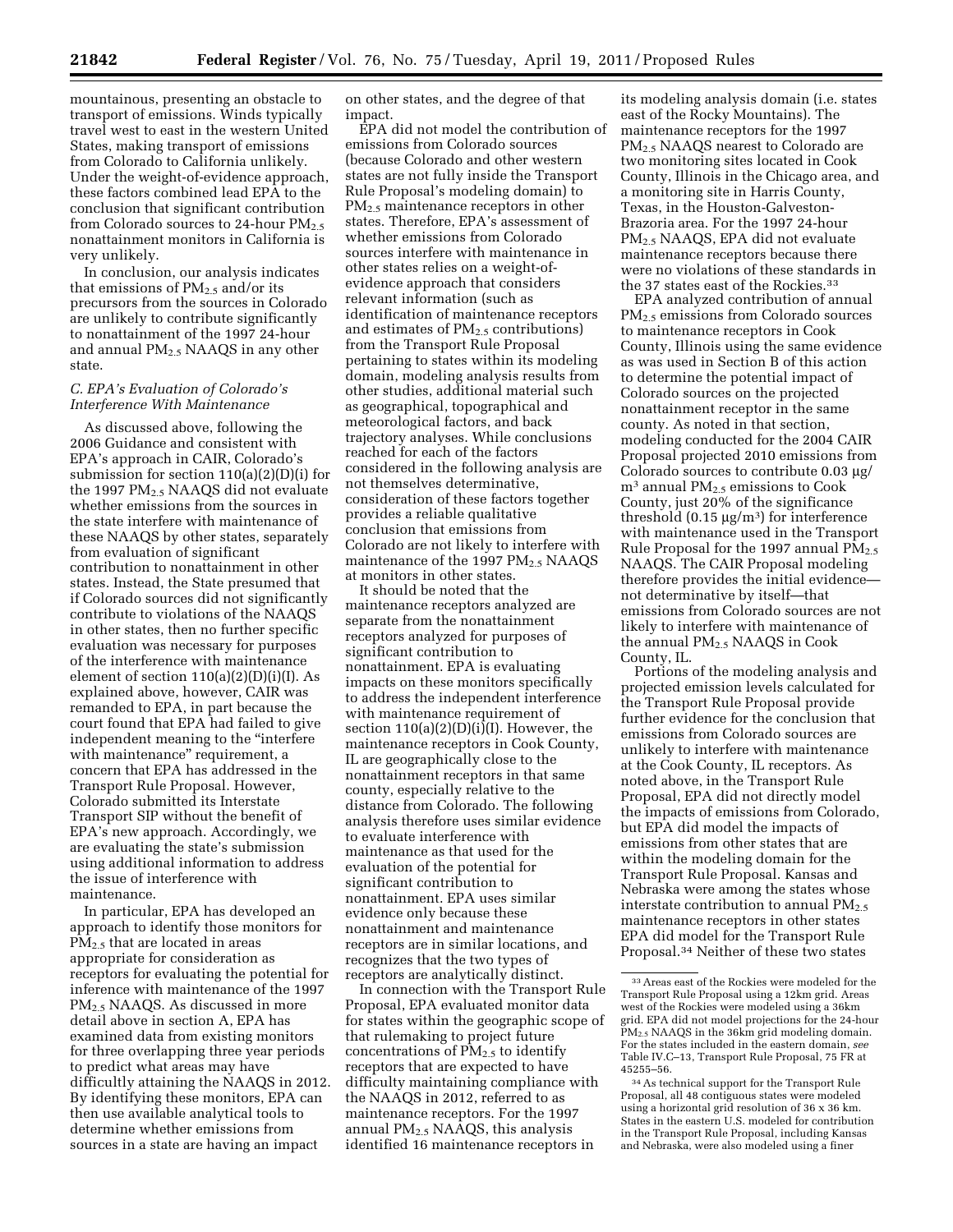mountainous, presenting an obstacle to transport of emissions. Winds typically travel west to east in the western United States, making transport of emissions from Colorado to California unlikely. Under the weight-of-evidence approach, these factors combined lead EPA to the conclusion that significant contribution from Colorado sources to 24-hour  $PM_{2.5}$ nonattainment monitors in California is very unlikely.

In conclusion, our analysis indicates that emissions of  $PM_{2.5}$  and/or its precursors from the sources in Colorado are unlikely to contribute significantly to nonattainment of the 1997 24-hour and annual  $PM<sub>2.5</sub> NAAQS$  in any other state.

#### *C. EPA's Evaluation of Colorado's Interference With Maintenance*

As discussed above, following the 2006 Guidance and consistent with EPA's approach in CAIR, Colorado's submission for section 110(a)(2)(D)(i) for the 1997  $PM_{2.5}$  NAAQS did not evaluate whether emissions from the sources in the state interfere with maintenance of these NAAQS by other states, separately from evaluation of significant contribution to nonattainment in other states. Instead, the State presumed that if Colorado sources did not significantly contribute to violations of the NAAQS in other states, then no further specific evaluation was necessary for purposes of the interference with maintenance element of section  $110(a)(2)(D)(i)(I)$ . As explained above, however, CAIR was remanded to EPA, in part because the court found that EPA had failed to give independent meaning to the ''interfere with maintenance'' requirement, a concern that EPA has addressed in the Transport Rule Proposal. However, Colorado submitted its Interstate Transport SIP without the benefit of EPA's new approach. Accordingly, we are evaluating the state's submission using additional information to address the issue of interference with maintenance.

In particular, EPA has developed an approach to identify those monitors for PM2.5 that are located in areas appropriate for consideration as receptors for evaluating the potential for inference with maintenance of the 1997 PM2.5 NAAQS. As discussed in more detail above in section A, EPA has examined data from existing monitors for three overlapping three year periods to predict what areas may have difficultly attaining the NAAQS in 2012. By identifying these monitors, EPA can then use available analytical tools to determine whether emissions from sources in a state are having an impact

on other states, and the degree of that impact.

EPA did not model the contribution of emissions from Colorado sources (because Colorado and other western states are not fully inside the Transport Rule Proposal's modeling domain) to PM2.5 maintenance receptors in other states. Therefore, EPA's assessment of whether emissions from Colorado sources interfere with maintenance in other states relies on a weight-ofevidence approach that considers relevant information (such as identification of maintenance receptors and estimates of  $PM_{2.5}$  contributions) from the Transport Rule Proposal pertaining to states within its modeling domain, modeling analysis results from other studies, additional material such as geographical, topographical and meteorological factors, and back trajectory analyses. While conclusions reached for each of the factors considered in the following analysis are not themselves determinative, consideration of these factors together provides a reliable qualitative conclusion that emissions from Colorado are not likely to interfere with maintenance of the 1997  $PM_{2.5}$  NAAQS at monitors in other states.

It should be noted that the maintenance receptors analyzed are separate from the nonattainment receptors analyzed for purposes of significant contribution to nonattainment. EPA is evaluating impacts on these monitors specifically to address the independent interference with maintenance requirement of section  $110(a)(2)(D)(i)(I)$ . However, the maintenance receptors in Cook County, IL are geographically close to the nonattainment receptors in that same county, especially relative to the distance from Colorado. The following analysis therefore uses similar evidence to evaluate interference with maintenance as that used for the evaluation of the potential for significant contribution to nonattainment. EPA uses similar evidence only because these nonattainment and maintenance receptors are in similar locations, and recognizes that the two types of receptors are analytically distinct.

In connection with the Transport Rule Proposal, EPA evaluated monitor data for states within the geographic scope of that rulemaking to project future concentrations of  $PM<sub>2.5</sub>$  to identify receptors that are expected to have difficulty maintaining compliance with the NAAQS in 2012, referred to as maintenance receptors. For the 1997 annual  $PM<sub>2.5</sub> NAAGS$ , this analysis identified 16 maintenance receptors in

its modeling analysis domain (i.e. states east of the Rocky Mountains). The maintenance receptors for the 1997 PM2.5 NAAQS nearest to Colorado are two monitoring sites located in Cook County, Illinois in the Chicago area, and a monitoring site in Harris County, Texas, in the Houston-Galveston-Brazoria area. For the 1997 24-hour PM2.5 NAAQS, EPA did not evaluate maintenance receptors because there were no violations of these standards in the 37 states east of the Rockies.<sup>33</sup>

EPA analyzed contribution of annual PM2.5 emissions from Colorado sources to maintenance receptors in Cook County, Illinois using the same evidence as was used in Section B of this action to determine the potential impact of Colorado sources on the projected nonattainment receptor in the same county. As noted in that section, modeling conducted for the 2004 CAIR Proposal projected 2010 emissions from Colorado sources to contribute 0.03 μg/  $m<sup>3</sup>$  annual PM<sub>2.5</sub> emissions to Cook County, just 20% of the significance threshold  $(0.15 \text{ µg/m}^3)$  for interference with maintenance used in the Transport Rule Proposal for the 1997 annual  $PM_{2.5}$ NAAQS. The CAIR Proposal modeling therefore provides the initial evidence not determinative by itself—that emissions from Colorado sources are not likely to interfere with maintenance of the annual PM2.5 NAAQS in Cook County, IL.

Portions of the modeling analysis and projected emission levels calculated for the Transport Rule Proposal provide further evidence for the conclusion that emissions from Colorado sources are unlikely to interfere with maintenance at the Cook County, IL receptors. As noted above, in the Transport Rule Proposal, EPA did not directly model the impacts of emissions from Colorado, but EPA did model the impacts of emissions from other states that are within the modeling domain for the Transport Rule Proposal. Kansas and Nebraska were among the states whose interstate contribution to annual  $PM_{2.5}$ maintenance receptors in other states EPA did model for the Transport Rule Proposal.34 Neither of these two states

<sup>33</sup>Areas east of the Rockies were modeled for the Transport Rule Proposal using a 12km grid. Areas west of the Rockies were modeled using a 36km grid. EPA did not model projections for the 24-hour  $PM_{2.5}$  NAAQS in the 36km grid modeling domain. For the states included in the eastern domain, *see*  Table IV.C–13, Transport Rule Proposal, 75 FR at 45255–56.

<sup>34</sup>As technical support for the Transport Rule Proposal, all 48 contiguous states were modeled using a horizontal grid resolution of 36 x 36 km. States in the eastern U.S. modeled for contribution in the Transport Rule Proposal, including Kansas and Nebraska, were also modeled using a finer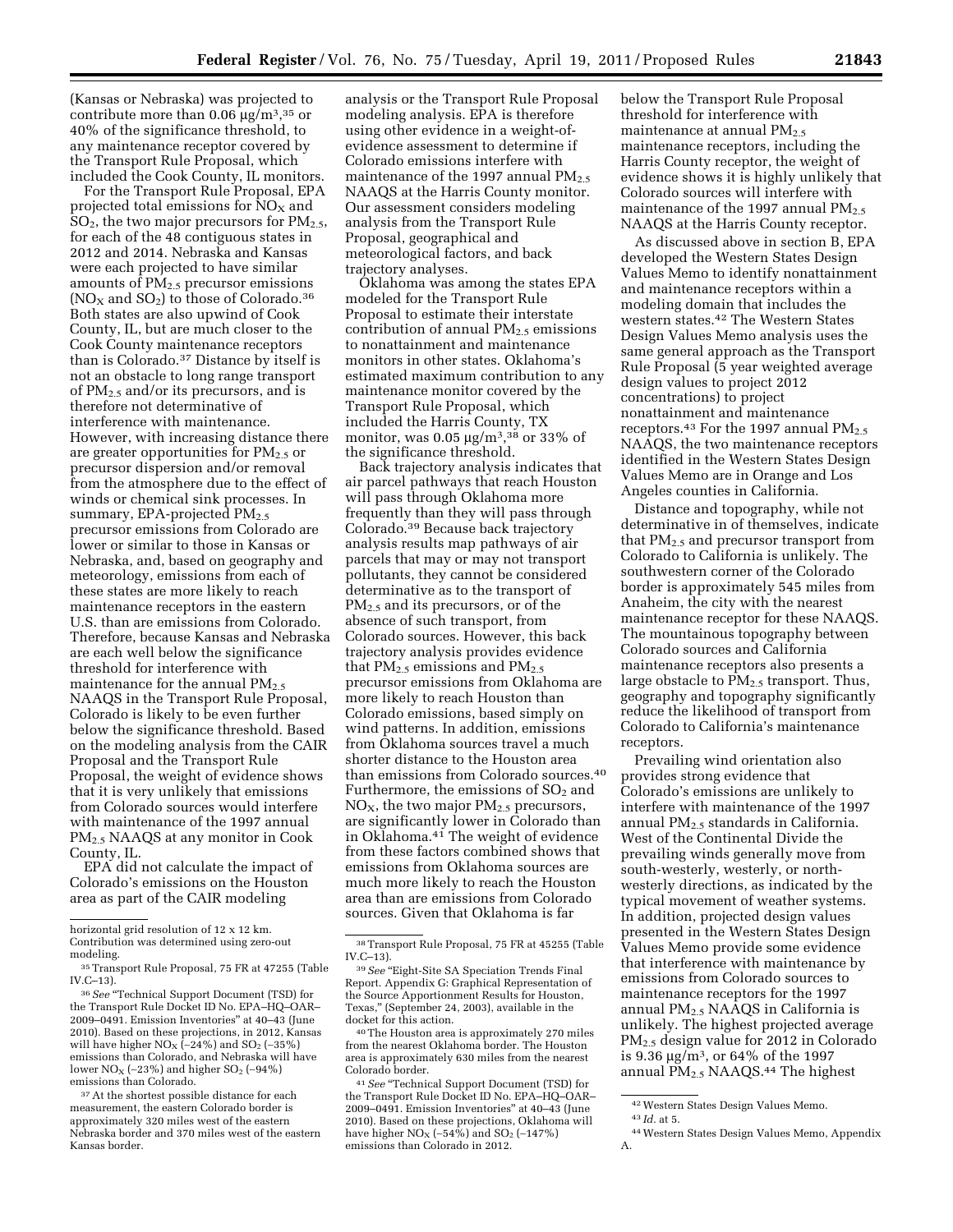(Kansas or Nebraska) was projected to contribute more than  $0.06 \mu g/m^3$ ,<sup>35</sup> or 40% of the significance threshold, to any maintenance receptor covered by the Transport Rule Proposal, which included the Cook County, IL monitors.

For the Transport Rule Proposal, EPA projected total emissions for  $NO<sub>X</sub>$  and  $SO<sub>2</sub>$ , the two major precursors for  $PM<sub>2.5</sub>$ , for each of the 48 contiguous states in 2012 and 2014. Nebraska and Kansas were each projected to have similar amounts of PM2.5 precursor emissions  $(NO<sub>X</sub>$  and  $SO<sub>2</sub>)$  to those of Colorado.<sup>36</sup> Both states are also upwind of Cook County, IL, but are much closer to the Cook County maintenance receptors than is Colorado.37 Distance by itself is not an obstacle to long range transport of  $PM_{2.5}$  and/or its precursors, and is therefore not determinative of interference with maintenance. However, with increasing distance there are greater opportunities for  $PM_{2.5}$  or precursor dispersion and/or removal from the atmosphere due to the effect of winds or chemical sink processes. In summary, EPA-projected PM<sub>2.5</sub> precursor emissions from Colorado are lower or similar to those in Kansas or Nebraska, and, based on geography and meteorology, emissions from each of these states are more likely to reach maintenance receptors in the eastern U.S. than are emissions from Colorado. Therefore, because Kansas and Nebraska are each well below the significance threshold for interference with maintenance for the annual  $PM_{2.5}$ NAAQS in the Transport Rule Proposal, Colorado is likely to be even further below the significance threshold. Based on the modeling analysis from the CAIR Proposal and the Transport Rule Proposal, the weight of evidence shows that it is very unlikely that emissions from Colorado sources would interfere with maintenance of the 1997 annual PM2.5 NAAQS at any monitor in Cook County, IL.

EPA did not calculate the impact of Colorado's emissions on the Houston area as part of the CAIR modeling

36*See* ''Technical Support Document (TSD) for the Transport Rule Docket ID No. EPA–HQ–OAR– 2009–0491. Emission Inventories'' at 40–43 (June 2010). Based on these projections, in 2012, Kansas will have higher NO<sub>X</sub> (∼24%) and SO<sub>2</sub> (∼35%) emissions than Colorado, and Nebraska will have lower NO<sub>X</sub> (~23%) and higher SO<sub>2</sub> (~94%) emissions than Colorado.

<sup>37</sup> At the shortest possible distance for each measurement, the eastern Colorado border is approximately 320 miles west of the eastern Nebraska border and 370 miles west of the eastern Kansas border.

analysis or the Transport Rule Proposal modeling analysis. EPA is therefore using other evidence in a weight-ofevidence assessment to determine if Colorado emissions interfere with maintenance of the 1997 annual  $PM_{2.5}$ NAAQS at the Harris County monitor. Our assessment considers modeling analysis from the Transport Rule Proposal, geographical and meteorological factors, and back trajectory analyses.

Oklahoma was among the states EPA modeled for the Transport Rule Proposal to estimate their interstate contribution of annual  $PM<sub>2.5</sub>$  emissions to nonattainment and maintenance monitors in other states. Oklahoma's estimated maximum contribution to any maintenance monitor covered by the Transport Rule Proposal, which included the Harris County, TX monitor, was  $0.05 \mu g/m^3$ ,<sup>38</sup> or 33% of the significance threshold.

Back trajectory analysis indicates that air parcel pathways that reach Houston will pass through Oklahoma more frequently than they will pass through Colorado.39 Because back trajectory analysis results map pathways of air parcels that may or may not transport pollutants, they cannot be considered determinative as to the transport of PM<sub>2.5</sub> and its precursors, or of the absence of such transport, from Colorado sources. However, this back trajectory analysis provides evidence that  $PM_{2.5}$  emissions and  $PM_{2.5}$ precursor emissions from Oklahoma are more likely to reach Houston than Colorado emissions, based simply on wind patterns. In addition, emissions from Oklahoma sources travel a much shorter distance to the Houston area than emissions from Colorado sources.40 Furthermore, the emissions of  $SO<sub>2</sub>$  and  $NO<sub>X</sub>$ , the two major  $PM<sub>2.5</sub>$  precursors, are significantly lower in Colorado than in Oklahoma.41 The weight of evidence from these factors combined shows that emissions from Oklahoma sources are much more likely to reach the Houston area than are emissions from Colorado sources. Given that Oklahoma is far

40The Houston area is approximately 270 miles from the nearest Oklahoma border. The Houston area is approximately 630 miles from the nearest Colorado border.

41*See* ''Technical Support Document (TSD) for the Transport Rule Docket ID No. EPA–HQ–OAR– 2009–0491. Emission Inventories'' at 40–43 (June 2010). Based on these projections, Oklahoma will have higher  $NO<sub>x</sub>$  (~54%) and  $SO<sub>2</sub>$  (~147%) emissions than Colorado in 2012.

below the Transport Rule Proposal threshold for interference with maintenance at annual  $PM_{2.5}$ maintenance receptors, including the Harris County receptor, the weight of evidence shows it is highly unlikely that Colorado sources will interfere with maintenance of the 1997 annual  $PM<sub>2.5</sub>$ NAAQS at the Harris County receptor.

As discussed above in section B, EPA developed the Western States Design Values Memo to identify nonattainment and maintenance receptors within a modeling domain that includes the western states.42 The Western States Design Values Memo analysis uses the same general approach as the Transport Rule Proposal (5 year weighted average design values to project 2012 concentrations) to project nonattainment and maintenance receptors.<sup>43</sup> For the 1997 annual  $PM_{2.5}$ NAAQS, the two maintenance receptors identified in the Western States Design Values Memo are in Orange and Los Angeles counties in California.

Distance and topography, while not determinative in of themselves, indicate that  $PM<sub>2.5</sub>$  and precursor transport from Colorado to California is unlikely. The southwestern corner of the Colorado border is approximately 545 miles from Anaheim, the city with the nearest maintenance receptor for these NAAQS. The mountainous topography between Colorado sources and California maintenance receptors also presents a large obstacle to PM<sub>2.5</sub> transport. Thus, geography and topography significantly reduce the likelihood of transport from Colorado to California's maintenance receptors.

Prevailing wind orientation also provides strong evidence that Colorado's emissions are unlikely to interfere with maintenance of the 1997 annual PM2.5 standards in California. West of the Continental Divide the prevailing winds generally move from south-westerly, westerly, or northwesterly directions, as indicated by the typical movement of weather systems. In addition, projected design values presented in the Western States Design Values Memo provide some evidence that interference with maintenance by emissions from Colorado sources to maintenance receptors for the 1997 annual PM2.5 NAAQS in California is unlikely. The highest projected average PM2.5 design value for 2012 in Colorado is 9.36 μg/m3, or 64% of the 1997 annual  $PM<sub>2.5</sub> NAAQS.<sup>44</sup>$  The highest

horizontal grid resolution of 12 x 12 km. Contribution was determined using zero-out modeling.

<sup>35</sup>Transport Rule Proposal, 75 FR at 47255 (Table IV.C–13).

<sup>&</sup>lt;sup>38</sup> Transport Rule Proposal, 75 FR at 45255 (Table IV.C-13).

<sup>&</sup>lt;sup>39</sup> See "Eight-Site SA Speciation Trends Final Report. Appendix G: Graphical Representation of the Source Apportionment Results for Houston, Texas,'' (September 24, 2003), available in the docket for this action.

<sup>42</sup>Western States Design Values Memo.

<sup>43</sup> *Id.* at 5.

<sup>44</sup>Western States Design Values Memo, Appendix A.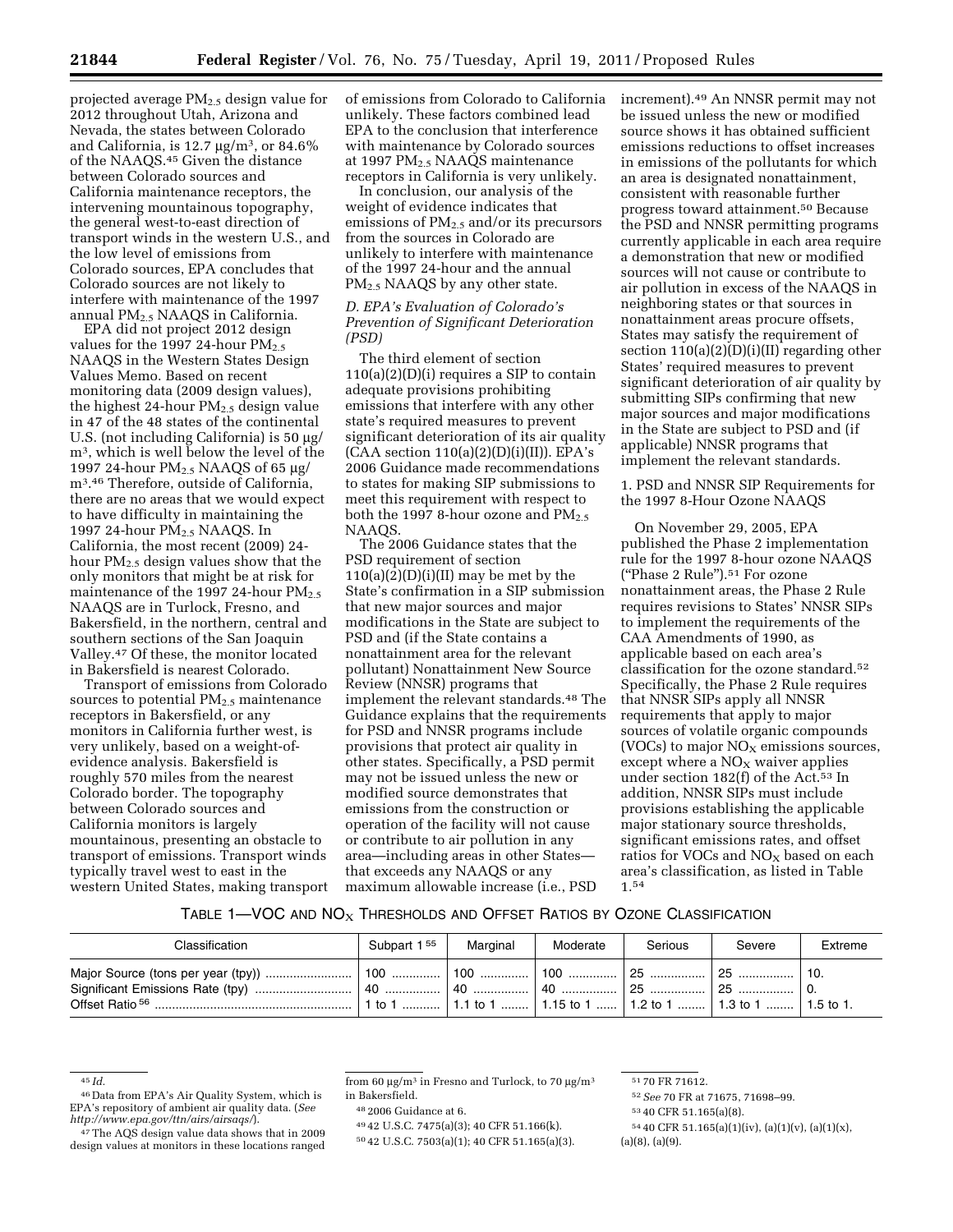projected average PM2.5 design value for 2012 throughout Utah, Arizona and Nevada, the states between Colorado and California, is 12.7  $\mu$ g/m<sup>3</sup>, or 84.6% of the NAAQS.45 Given the distance between Colorado sources and California maintenance receptors, the intervening mountainous topography, the general west-to-east direction of transport winds in the western U.S., and the low level of emissions from Colorado sources, EPA concludes that Colorado sources are not likely to interfere with maintenance of the 1997 annual PM2.5 NAAQS in California.

EPA did not project 2012 design values for the 1997 24-hour  $PM_{2.5}$ NAAQS in the Western States Design Values Memo. Based on recent monitoring data (2009 design values), the highest 24-hour  $PM_{2.5}$  design value in 47 of the 48 states of the continental U.S. (not including California) is 50 μg/ m3, which is well below the level of the 1997 24-hour PM2.5 NAAQS of 65 μg/ m3.46 Therefore, outside of California, there are no areas that we would expect to have difficulty in maintaining the 1997 24-hour PM2.5 NAAQS. In California, the most recent (2009) 24 hour  $PM_{2.5}$  design values show that the only monitors that might be at risk for maintenance of the 1997 24-hour  $PM_{2.5}$ NAAQS are in Turlock, Fresno, and Bakersfield, in the northern, central and southern sections of the San Joaquin Valley.47 Of these, the monitor located in Bakersfield is nearest Colorado.

Transport of emissions from Colorado sources to potential  $PM_{2.5}$  maintenance receptors in Bakersfield, or any monitors in California further west, is very unlikely, based on a weight-ofevidence analysis. Bakersfield is roughly 570 miles from the nearest Colorado border. The topography between Colorado sources and California monitors is largely mountainous, presenting an obstacle to transport of emissions. Transport winds typically travel west to east in the western United States, making transport

of emissions from Colorado to California unlikely. These factors combined lead EPA to the conclusion that interference with maintenance by Colorado sources at 1997 $\mathrm{PM_{2.5}}$ NAAQS maintenance receptors in California is very unlikely.

In conclusion, our analysis of the weight of evidence indicates that emissions of  $PM<sub>2.5</sub>$  and/or its precursors from the sources in Colorado are unlikely to interfere with maintenance of the 1997 24-hour and the annual PM<sub>2.5</sub> NAAQS by any other state.

# *D. EPA's Evaluation of Colorado's Prevention of Significant Deterioration (PSD)*

The third element of section  $110(a)(2)(D)(i)$  requires a SIP to contain adequate provisions prohibiting emissions that interfere with any other state's required measures to prevent significant deterioration of its air quality  $(CAA$  section  $110(a)(2)(D)(i)(II)$ ). EPA's 2006 Guidance made recommendations to states for making SIP submissions to meet this requirement with respect to both the 1997 8-hour ozone and  $PM_{2.5}$ NAAQS.

The 2006 Guidance states that the PSD requirement of section  $110(a)(2)(D)(i)(II)$  may be met by the State's confirmation in a SIP submission that new major sources and major modifications in the State are subject to PSD and (if the State contains a nonattainment area for the relevant pollutant) Nonattainment New Source Review (NNSR) programs that implement the relevant standards.48 The Guidance explains that the requirements for PSD and NNSR programs include provisions that protect air quality in other states. Specifically, a PSD permit may not be issued unless the new or modified source demonstrates that emissions from the construction or operation of the facility will not cause or contribute to air pollution in any area—including areas in other States that exceeds any NAAQS or any maximum allowable increase (i.e., PSD

increment).49 An NNSR permit may not be issued unless the new or modified source shows it has obtained sufficient emissions reductions to offset increases in emissions of the pollutants for which an area is designated nonattainment, consistent with reasonable further progress toward attainment.50 Because the PSD and NNSR permitting programs currently applicable in each area require a demonstration that new or modified sources will not cause or contribute to air pollution in excess of the NAAQS in neighboring states or that sources in nonattainment areas procure offsets, States may satisfy the requirement of section 110(a)(2)(D)(i)(II) regarding other States' required measures to prevent significant deterioration of air quality by submitting SIPs confirming that new major sources and major modifications in the State are subject to PSD and (if applicable) NNSR programs that implement the relevant standards.

1. PSD and NNSR SIP Requirements for the 1997 8-Hour Ozone NAAQS

On November 29, 2005, EPA published the Phase 2 implementation rule for the 1997 8-hour ozone NAAQS (''Phase 2 Rule'').51 For ozone nonattainment areas, the Phase 2 Rule requires revisions to States' NNSR SIPs to implement the requirements of the CAA Amendments of 1990, as applicable based on each area's classification for the ozone standard.52 Specifically, the Phase 2 Rule requires that NNSR SIPs apply all NNSR requirements that apply to major sources of volatile organic compounds (VOCs) to major  $NO<sub>x</sub>$  emissions sources, except where a  $NO<sub>x</sub>$  waiver applies under section 182(f) of the Act.53 In addition, NNSR SIPs must include provisions establishing the applicable major stationary source thresholds, significant emissions rates, and offset ratios for VOCs and NO<sub>X</sub> based on each area's classification, as listed in Table 1.54

# TABLE 1-VOC AND NO<sub>X</sub> THRESHOLDS AND OFFSET RATIOS BY OZONE CLASSIFICATION

| Classification             | Subpart 1 <sup>55</sup> | Marginal | Moderate | Serious                                                              | Severe | Extreme |
|----------------------------|-------------------------|----------|----------|----------------------------------------------------------------------|--------|---------|
| Offset Ratio <sup>56</sup> |                         |          |          | 1 to 1    1.1 to 1    1.15 to 1    1.2 to 1    1.3 to 1    1.5 to 1. |        |         |

<sup>45</sup> *Id.* 

50 42 U.S.C. 7503(a)(1); 40 CFR 51.165(a)(3).

54 40 CFR 51.165(a)(1)(iv), (a)(1)(v), (a)(1)(x), (a)(8), (a)(9).

<sup>46</sup> Data from EPA's Air Quality System, which is EPA's repository of ambient air quality data. (*See* 

<sup>&</sup>lt;sup>47</sup> The AQS design value data shows that in 2009 design values at monitors in these locations ranged

from 60 μg/m3 in Fresno and Turlock, to 70 μg/m3 in Bakersfield.

<sup>48</sup> 2006 Guidance at 6.

<sup>49</sup> 42 U.S.C. 7475(a)(3); 40 CFR 51.166(k).

<sup>51</sup> 70 FR 71612.

<sup>52</sup>*See* 70 FR at 71675, 71698–99.

<sup>53</sup> 40 CFR 51.165(a)(8).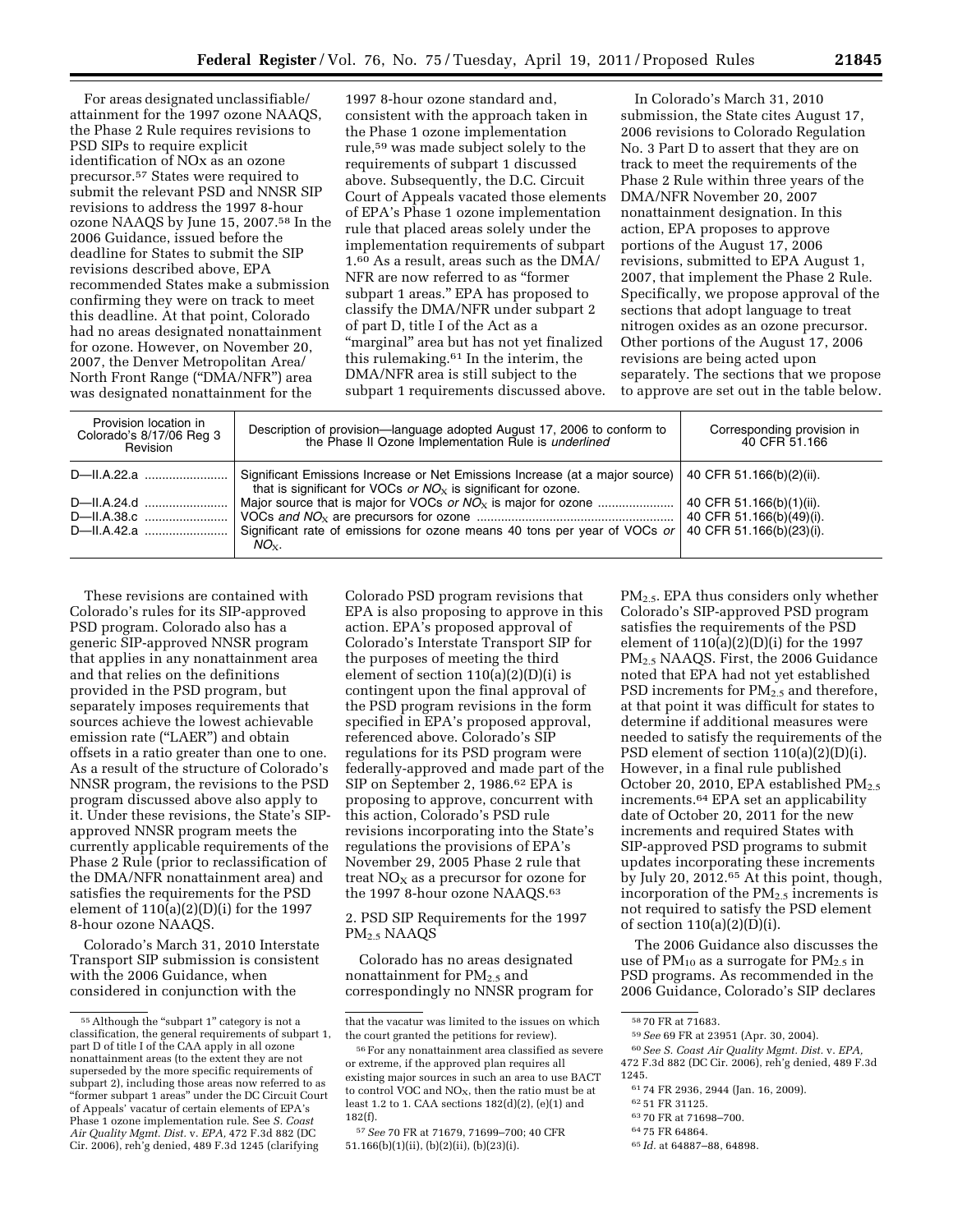For areas designated unclassifiable/ attainment for the 1997 ozone NAAQS, the Phase 2 Rule requires revisions to PSD SIPs to require explicit identification of NOx as an ozone precursor.57 States were required to submit the relevant PSD and NNSR SIP revisions to address the 1997 8-hour ozone NAAQS by June 15, 2007.58 In the 2006 Guidance, issued before the deadline for States to submit the SIP revisions described above, EPA recommended States make a submission confirming they were on track to meet this deadline. At that point, Colorado had no areas designated nonattainment for ozone. However, on November 20, 2007, the Denver Metropolitan Area/ North Front Range (''DMA/NFR'') area was designated nonattainment for the

1997 8-hour ozone standard and, consistent with the approach taken in the Phase 1 ozone implementation rule,59 was made subject solely to the requirements of subpart 1 discussed above. Subsequently, the D.C. Circuit Court of Appeals vacated those elements of EPA's Phase 1 ozone implementation rule that placed areas solely under the implementation requirements of subpart 1.60 As a result, areas such as the DMA/ NFR are now referred to as ''former subpart 1 areas.'' EPA has proposed to classify the DMA/NFR under subpart 2 of part D, title I of the Act as a "marginal" area but has not yet finalized this rulemaking.61 In the interim, the DMA/NFR area is still subject to the subpart 1 requirements discussed above.

In Colorado's March 31, 2010 submission, the State cites August 17, 2006 revisions to Colorado Regulation No. 3 Part D to assert that they are on track to meet the requirements of the Phase 2 Rule within three years of the DMA/NFR November 20, 2007 nonattainment designation. In this action, EPA proposes to approve portions of the August 17, 2006 revisions, submitted to EPA August 1, 2007, that implement the Phase 2 Rule. Specifically, we propose approval of the sections that adopt language to treat nitrogen oxides as an ozone precursor. Other portions of the August 17, 2006 revisions are being acted upon separately. The sections that we propose to approve are set out in the table below.

| Provision location in<br>Colorado's 8/17/06 Reg 3<br><b>Revision</b> | Description of provision—language adopted August 17, 2006 to conform to<br>the Phase II Ozone Implementation Rule is underlined                 | Corresponding provision in<br>40 CFR 51.166 |
|----------------------------------------------------------------------|-------------------------------------------------------------------------------------------------------------------------------------------------|---------------------------------------------|
| D—II.A.22.a                                                          | Significant Emissions Increase or Net Emissions Increase (at a major source)<br>that is significant for VOCs or $NOx$ is significant for ozone. | 40 CFR 51.166(b)(2)(ii).                    |
| D-II.A.24.d                                                          |                                                                                                                                                 | 40 CFR 51.166(b)(1)(ii).                    |
| D-II.A.38.c                                                          |                                                                                                                                                 | 40 CFR 51.166(b)(49)(i).                    |
| D-II.A.42.a                                                          | Significant rate of emissions for ozone means 40 tons per year of VOCs or<br>$NO_{X}$ .                                                         | 40 CFR 51.166(b)(23)(i).                    |

These revisions are contained with Colorado's rules for its SIP-approved PSD program. Colorado also has a generic SIP-approved NNSR program that applies in any nonattainment area and that relies on the definitions provided in the PSD program, but separately imposes requirements that sources achieve the lowest achievable emission rate ("LAER") and obtain offsets in a ratio greater than one to one. As a result of the structure of Colorado's NNSR program, the revisions to the PSD program discussed above also apply to it. Under these revisions, the State's SIPapproved NNSR program meets the currently applicable requirements of the Phase 2 Rule (prior to reclassification of the DMA/NFR nonattainment area) and satisfies the requirements for the PSD element of  $110(a)(2)(D)(i)$  for the 1997 8-hour ozone NAAQS.

Colorado's March 31, 2010 Interstate Transport SIP submission is consistent with the 2006 Guidance, when considered in conjunction with the

Colorado PSD program revisions that EPA is also proposing to approve in this action. EPA's proposed approval of Colorado's Interstate Transport SIP for the purposes of meeting the third element of section 110(a)(2)(D)(i) is contingent upon the final approval of the PSD program revisions in the form specified in EPA's proposed approval, referenced above. Colorado's SIP regulations for its PSD program were federally-approved and made part of the SIP on September 2, 1986.62 EPA is proposing to approve, concurrent with this action, Colorado's PSD rule revisions incorporating into the State's regulations the provisions of EPA's November 29, 2005 Phase 2 rule that treat  $NO<sub>x</sub>$  as a precursor for ozone for the 1997 8-hour ozone NAAQS.<sup>63</sup>

2. PSD SIP Requirements for the 1997 PM2.5 NAAQS

Colorado has no areas designated nonattainment for  $PM_{2.5}$  and correspondingly no NNSR program for

PM2.5. EPA thus considers only whether Colorado's SIP-approved PSD program satisfies the requirements of the PSD element of  $110(a)(2)(D)(i)$  for the 1997 PM2.5 NAAQS. First, the 2006 Guidance noted that EPA had not yet established PSD increments for  $PM_{2.5}$  and therefore, at that point it was difficult for states to determine if additional measures were needed to satisfy the requirements of the PSD element of section 110(a)(2)(D)(i). However, in a final rule published October 20, 2010, EPA established PM<sub>2.5</sub> increments.64 EPA set an applicability date of October 20, 2011 for the new increments and required States with SIP-approved PSD programs to submit updates incorporating these increments by July 20, 2012.65 At this point, though, incorporation of the  $PM_{2.5}$  increments is not required to satisfy the PSD element of section 110(a)(2)(D)(i).

The 2006 Guidance also discusses the use of  $PM_{10}$  as a surrogate for  $PM_{2.5}$  in PSD programs. As recommended in the 2006 Guidance, Colorado's SIP declares

62 51 FR 31125.

64 75 FR 64864.

<sup>&</sup>lt;sup>55</sup> Although the "subpart 1" category is not a classification, the general requirements of subpart 1, part D of title I of the CAA apply in all ozone nonattainment areas (to the extent they are not superseded by the more specific requirements of subpart 2), including those areas now referred to as ''former subpart 1 areas'' under the DC Circuit Court of Appeals' vacatur of certain elements of EPA's Phase 1 ozone implementation rule. See *S. Coast Air Quality Mgmt. Dist.* v. *EPA,* 472 F.3d 882 (DC Cir. 2006), reh'g denied, 489 F.3d 1245 (clarifying

that the vacatur was limited to the issues on which the court granted the petitions for review).

<sup>56</sup>For any nonattainment area classified as severe or extreme, if the approved plan requires all existing major sources in such an area to use BACT to control VOC and  $NO<sub>X</sub>$ , then the ratio must be at least 1.2 to 1. CAA sections 182(d)(2), (e)(1) and 182(f).

<sup>57</sup>*See* 70 FR at 71679, 71699–700; 40 CFR 51.166(b)(1)(ii), (b)(2)(ii), (b)(23)(i).

<sup>58</sup> 70 FR at 71683.

<sup>59</sup>*See* 69 FR at 23951 (Apr. 30, 2004).

<sup>60</sup>*See S. Coast Air Quality Mgmt. Dist.* v. *EPA,*  472 F.3d 882 (DC Cir. 2006), reh'g denied, 489 F.3d 1245.

<sup>61</sup> 74 FR 2936, 2944 (Jan. 16, 2009).

<sup>63</sup> 70 FR at 71698–700.

<sup>65</sup> *Id.* at 64887–88, 64898.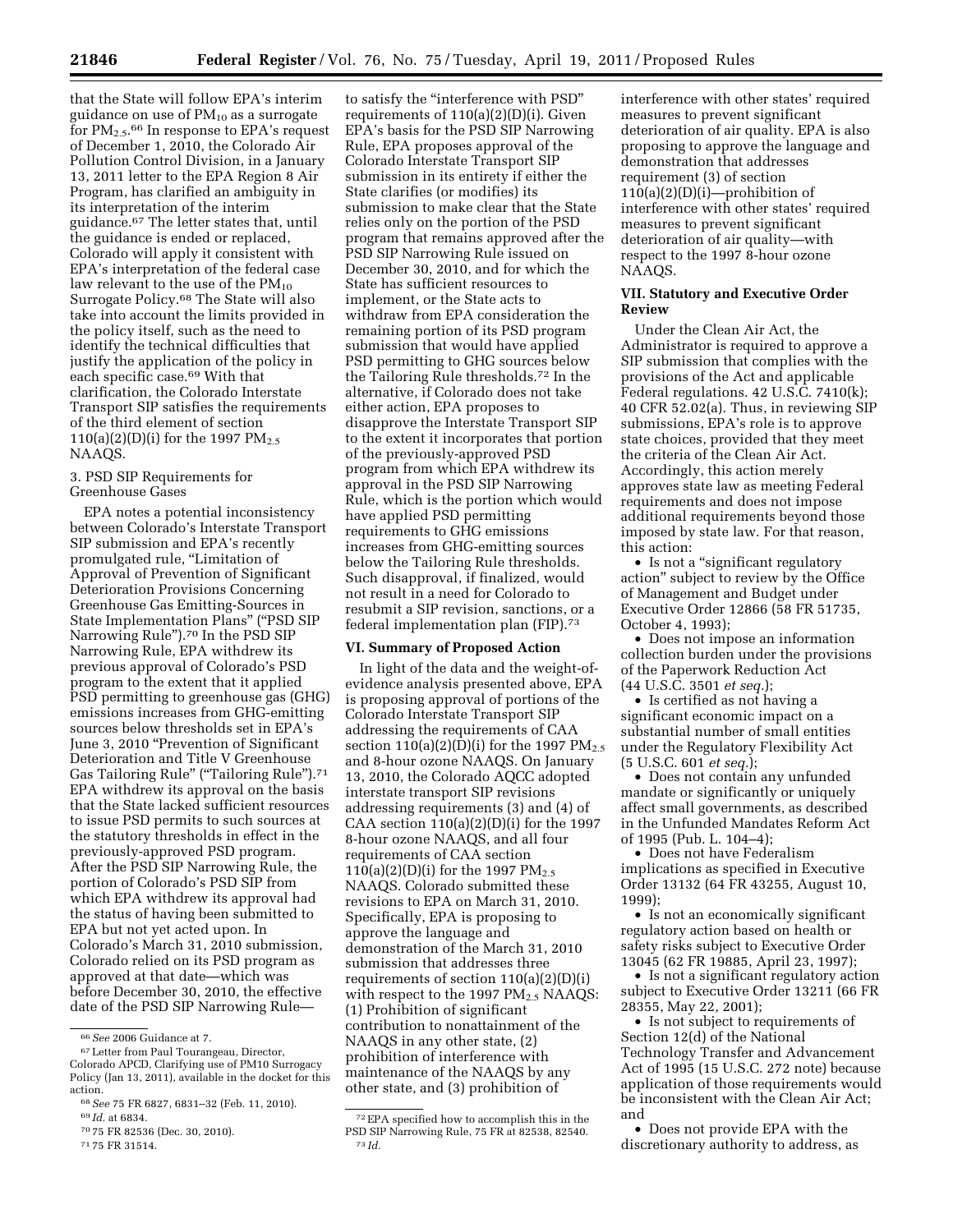that the State will follow EPA's interim guidance on use of  $PM_{10}$  as a surrogate for  $PM_{2.5}$ .<sup>66</sup> In response to EPA's request of December 1, 2010, the Colorado Air Pollution Control Division, in a January 13, 2011 letter to the EPA Region 8 Air Program, has clarified an ambiguity in its interpretation of the interim guidance.67 The letter states that, until the guidance is ended or replaced, Colorado will apply it consistent with EPA's interpretation of the federal case law relevant to the use of the  $PM_{10}$ Surrogate Policy.68 The State will also take into account the limits provided in the policy itself, such as the need to identify the technical difficulties that justify the application of the policy in each specific case.69 With that clarification, the Colorado Interstate Transport SIP satisfies the requirements of the third element of section 110(a)(2)(D)(i) for the 1997  $PM_{2.5}$ NAAQS.

# 3. PSD SIP Requirements for Greenhouse Gases

EPA notes a potential inconsistency between Colorado's Interstate Transport SIP submission and EPA's recently promulgated rule, ''Limitation of Approval of Prevention of Significant Deterioration Provisions Concerning Greenhouse Gas Emitting-Sources in State Implementation Plans'' (''PSD SIP Narrowing Rule'').70 In the PSD SIP Narrowing Rule, EPA withdrew its previous approval of Colorado's PSD program to the extent that it applied PSD permitting to greenhouse gas (GHG) emissions increases from GHG-emitting sources below thresholds set in EPA's June 3, 2010 "Prevention of Significant" Deterioration and Title V Greenhouse Gas Tailoring Rule" ("Tailoring Rule").<sup>71</sup> EPA withdrew its approval on the basis that the State lacked sufficient resources to issue PSD permits to such sources at the statutory thresholds in effect in the previously-approved PSD program. After the PSD SIP Narrowing Rule, the portion of Colorado's PSD SIP from which EPA withdrew its approval had the status of having been submitted to EPA but not yet acted upon. In Colorado's March 31, 2010 submission, Colorado relied on its PSD program as approved at that date—which was before December 30, 2010, the effective date of the PSD SIP Narrowing Rule—

71 75 FR 31514.

to satisfy the ''interference with PSD'' requirements of 110(a)(2)(D)(i). Given EPA's basis for the PSD SIP Narrowing Rule, EPA proposes approval of the Colorado Interstate Transport SIP submission in its entirety if either the State clarifies (or modifies) its submission to make clear that the State relies only on the portion of the PSD program that remains approved after the PSD SIP Narrowing Rule issued on December 30, 2010, and for which the State has sufficient resources to implement, or the State acts to withdraw from EPA consideration the remaining portion of its PSD program submission that would have applied PSD permitting to GHG sources below the Tailoring Rule thresholds.72 In the alternative, if Colorado does not take either action, EPA proposes to disapprove the Interstate Transport SIP to the extent it incorporates that portion of the previously-approved PSD program from which EPA withdrew its approval in the PSD SIP Narrowing Rule, which is the portion which would have applied PSD permitting requirements to GHG emissions increases from GHG-emitting sources below the Tailoring Rule thresholds. Such disapproval, if finalized, would not result in a need for Colorado to resubmit a SIP revision, sanctions, or a federal implementation plan (FIP).73

#### **VI. Summary of Proposed Action**

In light of the data and the weight-ofevidence analysis presented above, EPA is proposing approval of portions of the Colorado Interstate Transport SIP addressing the requirements of CAA section  $110(a)(2)(D)(i)$  for the 1997 PM<sub>2.5</sub> and 8-hour ozone NAAQS. On January 13, 2010, the Colorado AQCC adopted interstate transport SIP revisions addressing requirements (3) and (4) of CAA section  $110(a)(2)(D)(i)$  for the 1997 8-hour ozone NAAQS, and all four requirements of CAA section 110(a)(2)(D)(i) for the 1997  $PM_{2.5}$ NAAQS. Colorado submitted these revisions to EPA on March 31, 2010. Specifically, EPA is proposing to approve the language and demonstration of the March 31, 2010 submission that addresses three requirements of section 110(a)(2)(D)(i) with respect to the 1997  $PM_{2.5}$  NAAQS: (1) Prohibition of significant contribution to nonattainment of the NAAQS in any other state, (2) prohibition of interference with maintenance of the NAAQS by any other state, and (3) prohibition of

interference with other states' required measures to prevent significant deterioration of air quality. EPA is also proposing to approve the language and demonstration that addresses requirement (3) of section 110(a)(2)(D)(i)—prohibition of interference with other states' required measures to prevent significant deterioration of air quality—with respect to the 1997 8-hour ozone NAAQS.

#### **VII. Statutory and Executive Order Review**

Under the Clean Air Act, the Administrator is required to approve a SIP submission that complies with the provisions of the Act and applicable Federal regulations. 42 U.S.C. 7410(k); 40 CFR 52.02(a). Thus, in reviewing SIP submissions, EPA's role is to approve state choices, provided that they meet the criteria of the Clean Air Act. Accordingly, this action merely approves state law as meeting Federal requirements and does not impose additional requirements beyond those imposed by state law. For that reason, this action:

• Is not a "significant regulatory action'' subject to review by the Office of Management and Budget under Executive Order 12866 (58 FR 51735, October 4, 1993);

• Does not impose an information collection burden under the provisions of the Paperwork Reduction Act (44 U.S.C. 3501 *et seq.*);

• Is certified as not having a significant economic impact on a substantial number of small entities under the Regulatory Flexibility Act (5 U.S.C. 601 *et seq.*);

• Does not contain any unfunded mandate or significantly or uniquely affect small governments, as described in the Unfunded Mandates Reform Act of 1995 (Pub. L. 104–4);

• Does not have Federalism implications as specified in Executive Order 13132 (64 FR 43255, August 10, 1999);

• Is not an economically significant regulatory action based on health or safety risks subject to Executive Order 13045 (62 FR 19885, April 23, 1997);

• Is not a significant regulatory action subject to Executive Order 13211 (66 FR 28355, May 22, 2001);

• Is not subject to requirements of Section 12(d) of the National Technology Transfer and Advancement Act of 1995 (15 U.S.C. 272 note) because application of those requirements would be inconsistent with the Clean Air Act; and

• Does not provide EPA with the discretionary authority to address, as

<sup>66</sup>*See* 2006 Guidance at 7.

<sup>67</sup>Letter from Paul Tourangeau, Director, Colorado APCD, Clarifying use of PM10 Surrogacy Policy (Jan 13, 2011), available in the docket for this action.

<sup>68</sup>*See* 75 FR 6827, 6831–32 (Feb. 11, 2010).

<sup>69</sup> *Id.* at 6834.

<sup>70</sup> 75 FR 82536 (Dec. 30, 2010).

 $\rm ^{72}EPA$  specified how to accomplish this in the PSD SIP Narrowing Rule, 75 FR at 82538, 82540. 73 *Id.*